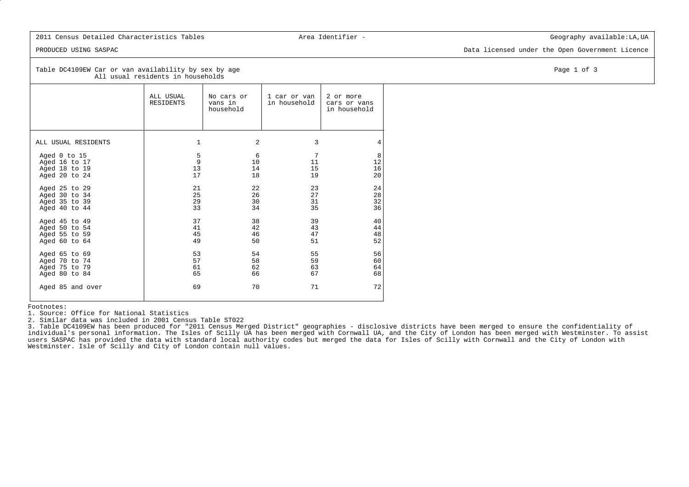## 2011 Census Detailed Characteristics Tables **Area Identifier** - The Characteristics Table:LA,UA

PRODUCED USING SASPAC Data licensed under the Open Government Licence

Table DC4109EW Car or van availability by sex by age Page 1 of 3 All usual residents in households

|                               | ALL USUAL<br>RESIDENTS | No cars or<br>vans in<br>household | 1 car or van<br>in household | 2 or more<br>cars or vans<br>in household |
|-------------------------------|------------------------|------------------------------------|------------------------------|-------------------------------------------|
| ALL USUAL RESIDENTS           | 1                      | 2                                  | 3                            | 4                                         |
| Aged 0 to 15<br>Aged 16 to 17 | 5<br>$\overline{9}$    | 6<br>10                            | $7\phantom{.0}$<br>11        | 8<br>12                                   |
| Aged 18 to 19                 | 13                     | 14                                 | 15                           | 16                                        |
| Aged 20 to 24                 | 17                     | 18                                 | 19                           | 20                                        |
| Aged 25 to 29                 | 21                     | 22                                 | 23                           | 24                                        |
| Aged 30 to 34                 | 25                     | 26                                 | 27                           | 28                                        |
| Aged 35 to 39                 | 29                     | 30                                 | 31                           | 32                                        |
| Aged 40 to 44                 | 33                     | 34                                 | 35                           | 36                                        |
| Aged 45 to 49                 | 37                     | 38                                 | 39                           | 40                                        |
| Aged 50 to 54                 | 41                     | 42                                 | 43                           | 44                                        |
| Aged 55 to 59                 | 45                     | 46                                 | 47                           | 48                                        |
| Aged 60 to 64                 | 49                     | 50                                 | 51                           | 52                                        |
| Aged 65 to 69                 | 53                     | 54                                 | 55                           | 56                                        |
| Aged 70 to 74                 | 57                     | 58                                 | 59                           | 60                                        |
| Aged 75 to 79                 | 61                     | 62                                 | 63                           | 64                                        |
| Aged 80 to 84                 | 65                     | 66                                 | 67                           | 68                                        |
| Aged 85 and over              | 69                     | 70                                 | 71                           | 72                                        |

Footnotes:

1. Source: Office for National Statistics

2. Similar data was included in 2001 Census Table ST022

 3. Table DC4109EW has been produced for "2011 Census Merged District" geographies - disclosive districts have been merged to ensure the confidentiality of individual's personal information. The Isles of Scilly UA has been merged with Cornwall UA, and the City of London has been merged with Westminster. To assistusers SASPAC has provided the data with standard local authority codes but merged the data for Isles of Scilly with Cornwall and the City of London withWestminster. Isle of Scilly and City of London contain null values.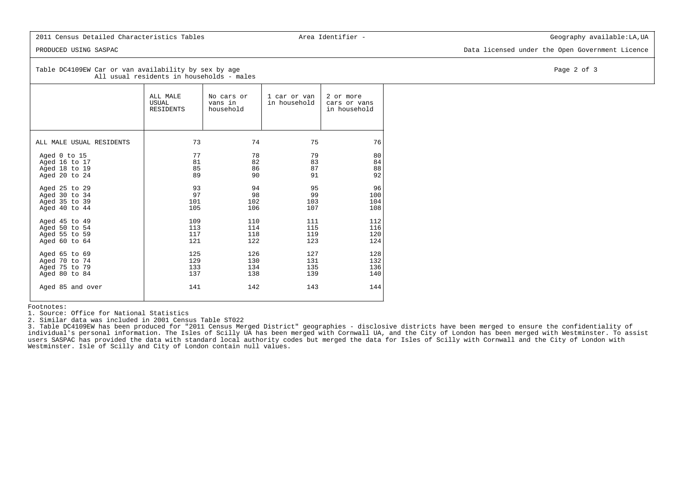## 2011 Census Detailed Characteristics Tables **Area Identifier** - The Characteristics Table:LA,UA

PRODUCED USING SASPAC Data licensed under the Open Government Licence

### Table DC4109EW Car or van availability by sex by age Page 2 of 3 All usual residents in households - males

|                          | ALL MALE<br>USUAL<br>RESIDENTS | No cars or<br>vans in<br>household | 1 car or van<br>in household | 2 or more<br>cars or vans<br>in household |
|--------------------------|--------------------------------|------------------------------------|------------------------------|-------------------------------------------|
| ALL MALE USUAL RESIDENTS | 73                             | 74                                 | 75                           | 76                                        |
| Aged 0 to 15             | 77                             | 78                                 | 79                           | 80                                        |
| Aged 16 to 17            | 81                             | 82                                 | 83                           | 84                                        |
| Aged 18 to 19            | 85                             | 86                                 | 87                           | 88                                        |
| Aged 20 to 24            | 89                             | 90                                 | 91                           | 92                                        |
| Aged 25 to 29            | 93                             | 94                                 | 95                           | 96                                        |
| Aged 30 to 34            | 97                             | 98                                 | 99                           | 100                                       |
| Aged 35 to 39            | 101                            | 102                                | 103                          | 104                                       |
| Aged 40 to 44            | 105                            | 106                                | 107                          | 108                                       |
| Aged 45 to 49            | 109                            | 110                                | 111                          | 112                                       |
| Aged 50 to 54            | 113                            | 114                                | 115                          | 116                                       |
| Aged 55 to 59            | 117                            | 118                                | 119                          | 120                                       |
| Aged $60$ to $64$        | 121                            | 122                                | 123                          | 124                                       |
| Aged 65 to 69            | 125                            | 126                                | 127                          | 128                                       |
| Aged 70 to 74            | 129                            | 130                                | 131                          | 132                                       |
| Aged 75 to 79            | 133                            | 134                                | 135                          | 136                                       |
| Aged 80 to 84            | 137                            | 138                                | 139                          | 140                                       |
| Aged 85 and over         | 141                            | 142                                | 143                          | 144                                       |

Footnotes:

1. Source: Office for National Statistics

2. Similar data was included in 2001 Census Table ST022

 3. Table DC4109EW has been produced for "2011 Census Merged District" geographies - disclosive districts have been merged to ensure the confidentiality of individual's personal information. The Isles of Scilly UA has been merged with Cornwall UA, and the City of London has been merged with Westminster. To assistusers SASPAC has provided the data with standard local authority codes but merged the data for Isles of Scilly with Cornwall and the City of London withWestminster. Isle of Scilly and City of London contain null values.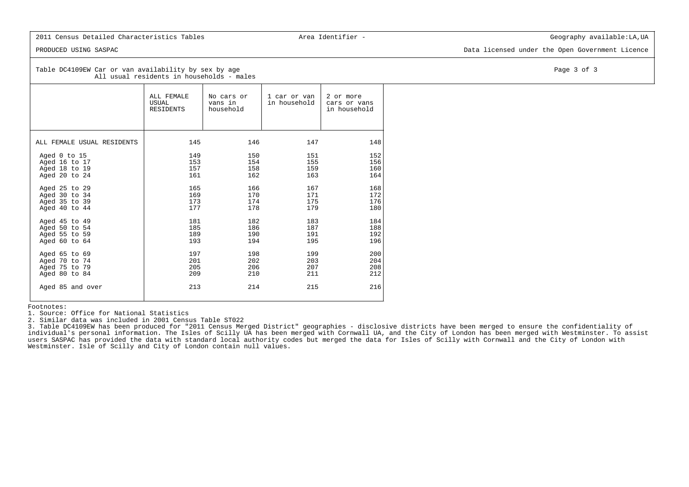## 2011 Census Detailed Characteristics Tables **Area Identifier** - The Characteristics Table:LA,UA

PRODUCED USING SASPAC Data licensed under the Open Government Licence

### Table DC4109EW Car or van availability by sex by age Page 3 of 3 All usual residents in households - males

|                            | ALL FEMALE<br>USUAL<br>RESIDENTS | No cars or<br>vans in<br>household | 1 car or van<br>in household | 2 or more<br>cars or vans<br>in household |
|----------------------------|----------------------------------|------------------------------------|------------------------------|-------------------------------------------|
| ALL FEMALE USUAL RESIDENTS | 145                              | 146                                | 147                          | 148                                       |
| Aged 0 to 15               | 149                              | 150                                | 151                          | 152                                       |
| Aged 16 to 17              | 153                              | 154                                | 155                          | 156                                       |
| Aged 18 to 19              | 157                              | 158                                | 159                          | 160                                       |
| Aged 20 to 24              | 161                              | 162                                | 163                          | 164                                       |
| Aged 25 to 29              | 165                              | 166                                | 167                          | 168                                       |
| Aged 30 to 34              | 169                              | 170                                | 171                          | 172                                       |
| Aged 35 to 39              | 173                              | 174                                | 175                          | 176                                       |
| Aged 40 to 44              | 177                              | 178                                | 179                          | 180                                       |
| Aged 45 to 49              | 181                              | 182                                | 183                          | 184                                       |
| Aged 50 to 54              | 185                              | 186                                | 187                          | 188                                       |
| Aged 55 to 59              | 189                              | 190                                | 191                          | 192                                       |
| Aged 60 to 64              | 193                              | 194                                | 195                          | 196                                       |
| Aged 65 to 69              | 197                              | 198                                | 199                          | 200                                       |
| Aged 70 to 74              | 201                              | 202                                | 203                          | 204                                       |
| Aged 75 to 79              | 205                              | 206                                | 207                          | 208                                       |
| Aged 80 to 84              | 209                              | 210                                | 211                          | 212                                       |
| Aged 85 and over           | 213                              | 214                                | 215                          | 216                                       |

Footnotes:

1. Source: Office for National Statistics

2. Similar data was included in 2001 Census Table ST022

 3. Table DC4109EW has been produced for "2011 Census Merged District" geographies - disclosive districts have been merged to ensure the confidentiality of individual's personal information. The Isles of Scilly UA has been merged with Cornwall UA, and the City of London has been merged with Westminster. To assistusers SASPAC has provided the data with standard local authority codes but merged the data for Isles of Scilly with Cornwall and the City of London withWestminster. Isle of Scilly and City of London contain null values.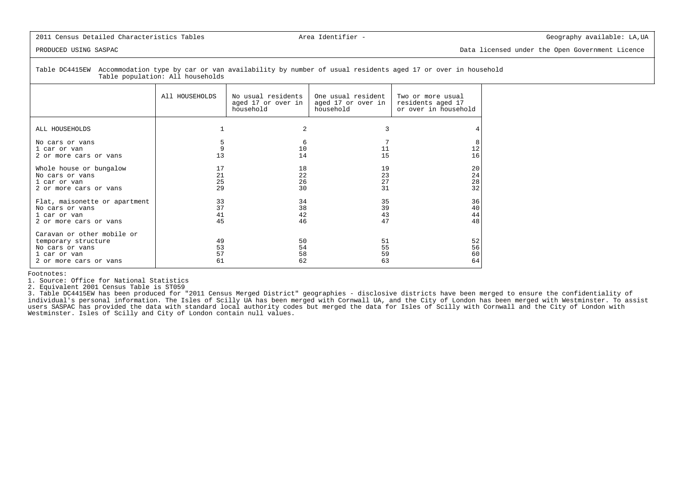## 2011 Census Detailed Characteristics Tables Area Identifier - The Characteristics Tables Area Identifier - Geography available: LA,UA

PRODUCED USING SASPAC Data licensed under the Open Government Licence

 Table DC4415EW Accommodation type by car or van availability by number of usual residents aged 17 or over in householdTable population: All households

|                                                                                                                | All HOUSEHOLDS       | No usual residents<br>aged 17 or over in<br>household | One usual resident<br>aged 17 or over in<br>household | Two or more usual<br>residents aged 17<br>or over in household |
|----------------------------------------------------------------------------------------------------------------|----------------------|-------------------------------------------------------|-------------------------------------------------------|----------------------------------------------------------------|
| ALL HOUSEHOLDS                                                                                                 |                      | 2                                                     |                                                       |                                                                |
| No cars or vans<br>1 car or van<br>2 or more cars or vans                                                      | 13                   | 6<br>10<br>14                                         | 11<br>15                                              | 8<br>12<br>16                                                  |
| Whole house or bungalow<br>No cars or yans<br>1 car or van<br>2 or more cars or vans                           | 17<br>21<br>25<br>29 | 18<br>22<br>26<br>30                                  | 19<br>23<br>27<br>31                                  | 20<br>24<br>28<br>32                                           |
| Flat, maisonette or apartment<br>No cars or vans<br>1 car or van<br>2 or more cars or vans                     | 33<br>37<br>41<br>45 | 34<br>38<br>42<br>46                                  | 35<br>39<br>43<br>47                                  | 36<br>40<br>44<br>48                                           |
| Caravan or other mobile or<br>temporary structure<br>No cars or vans<br>1 car or van<br>2 or more cars or vans | 49<br>53<br>57<br>61 | 50<br>54<br>58<br>62                                  | 51<br>55<br>59<br>63                                  | 52<br>56<br>60<br>64                                           |

Footnotes:

1. Source: Office for National Statistics

2. Equivalent 2001 Census Table is ST059

 3. Table DC4415EW has been produced for "2011 Census Merged District" geographies - disclosive districts have been merged to ensure the confidentiality of individual's personal information. The Isles of Scilly UA has been merged with Cornwall UA, and the City of London has been merged with Westminster. To assistusers SASPAC has provided the data with standard local authority codes but merged the data for Isles of Scilly with Cornwall and the City of London withWestminster. Isles of Scilly and City of London contain null values.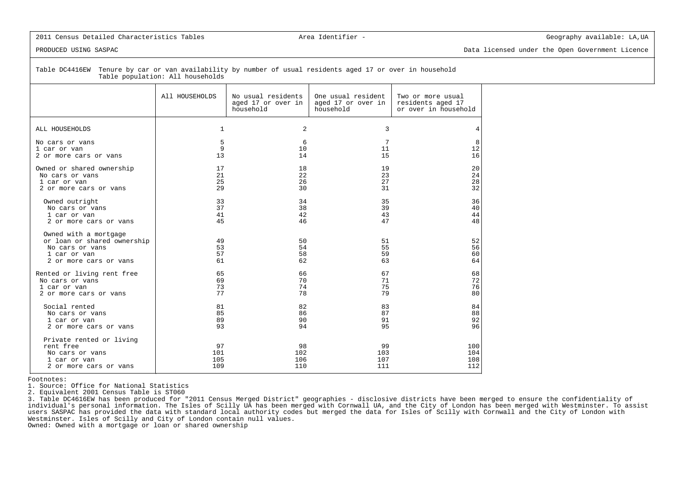### 2011 Census Detailed Characteristics Tables (and the Characteristics Tables Area Identifier - Geography available: LA,UA

PRODUCED USING SASPAC Data licensed under the Open Government Licence

 Table DC4416EW Tenure by car or van availability by number of usual residents aged 17 or over in householdTable population: All households

|                                                                                                                   | All HOUSEHOLDS          | No usual residents<br>aged 17 or over in<br>household | One usual resident<br>aged 17 or over in<br>household | Two or more usual<br>residents aged 17<br>or over in household |
|-------------------------------------------------------------------------------------------------------------------|-------------------------|-------------------------------------------------------|-------------------------------------------------------|----------------------------------------------------------------|
| ALL HOUSEHOLDS                                                                                                    | $\mathbf 1$             | $\overline{2}$                                        | 3                                                     | 4                                                              |
| No cars or vans                                                                                                   | 5                       | 6                                                     | 7                                                     | 8                                                              |
| 1 car or van                                                                                                      | 9                       | 10                                                    | 11                                                    | 12                                                             |
| 2 or more cars or vans                                                                                            | 13                      | 14                                                    | 15                                                    | 16                                                             |
| Owned or shared ownership                                                                                         | 17                      | 18                                                    | 19                                                    | 20                                                             |
| No cars or vans                                                                                                   | 21                      | 22                                                    | 23                                                    | 24                                                             |
| 1 car or van                                                                                                      | 25                      | 26                                                    | 27                                                    | 28                                                             |
| 2 or more cars or vans                                                                                            | 29                      | 30                                                    | 31                                                    | 32                                                             |
| Owned outright                                                                                                    | 33                      | 34                                                    | 35                                                    | 36                                                             |
| No cars or vans                                                                                                   | 37                      | 38                                                    | 39                                                    | 40                                                             |
| 1 car or van                                                                                                      | 41                      | 42                                                    | 43                                                    | 44                                                             |
| 2 or more cars or vans                                                                                            | 45                      | 46                                                    | 47                                                    | 48                                                             |
| Owned with a mortgage<br>or loan or shared ownership<br>No cars or vans<br>1 car or van<br>2 or more cars or vans | 49<br>53<br>57<br>61    | 50<br>54<br>58<br>62                                  | 51<br>55<br>59<br>63                                  | 52<br>56<br>60<br>64                                           |
| Rented or living rent free                                                                                        | 65                      | 66                                                    | 67                                                    | 68                                                             |
| No cars or vans                                                                                                   | 69                      | 70                                                    | 71                                                    | 72                                                             |
| 1 car or van                                                                                                      | 73                      | 74                                                    | 75                                                    | 76                                                             |
| 2 or more cars or vans                                                                                            | 77                      | 78                                                    | 79                                                    | 80                                                             |
| Social rented                                                                                                     | 81                      | 82                                                    | 83                                                    | 84                                                             |
| No cars or vans                                                                                                   | 85                      | 86                                                    | 87                                                    | 88                                                             |
| 1 car or van                                                                                                      | 89                      | 90                                                    | 91                                                    | 92                                                             |
| 2 or more cars or vans                                                                                            | 93                      | 94                                                    | 95                                                    | 96                                                             |
| Private rented or living<br>rent free<br>No cars or vans<br>1 car or van<br>2 or more cars or vans                | 97<br>101<br>105<br>109 | 98<br>102<br>106<br>110                               | 99<br>103<br>107<br>111                               | 100<br>104<br>108<br>112                                       |

Footnotes:

1. Source: Office for National Statistics

2. Equivalent 2001 Census Table is ST060

 3. Table DC4616EW has been produced for "2011 Census Merged District" geographies - disclosive districts have been merged to ensure the confidentiality ofindividual's personal information. The Isles of Scilly UA has been merged with Cornwall UA, and the City of London has been merged with Westminster. To assist<br>users SASPAC has provided the data with standard local authorit Westminster. Isles of Scilly and City of London contain null values.

Owned: Owned with a mortgage or loan or shared ownership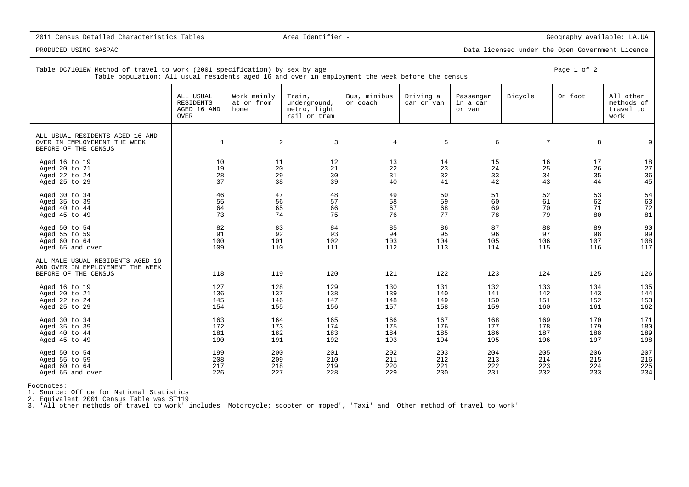PRODUCED USING SASPAC Data licensed under the Open Government Licence

| Table DC7101EW Method of travel to work (2001 specification) by sex by age<br>Table population: All usual residents aged 16 and over in employment the week before the census |                                                             |                                   |                                                        |                          |                         |                                 |         | Page 1 of 2 |                                              |
|-------------------------------------------------------------------------------------------------------------------------------------------------------------------------------|-------------------------------------------------------------|-----------------------------------|--------------------------------------------------------|--------------------------|-------------------------|---------------------------------|---------|-------------|----------------------------------------------|
|                                                                                                                                                                               | ALL USUAL<br><b>RESIDENTS</b><br>AGED 16 AND<br><b>OVER</b> | Work mainly<br>at or from<br>home | Train,<br>underground,<br>metro, light<br>rail or tram | Bus, minibus<br>or coach | Driving a<br>car or van | Passenger<br>in a car<br>or van | Bicycle | On foot     | All other<br>methods of<br>travel to<br>work |
| ALL USUAL RESIDENTS AGED 16 AND<br>OVER IN EMPLOYEMENT THE WEEK<br>BEFORE OF THE CENSUS                                                                                       | $\mathbf{1}$                                                |                                   | 2<br>3                                                 | 4                        | 5                       | 6                               | 7       | 8           |                                              |
| Aged 16 to 19                                                                                                                                                                 | 10                                                          | 11                                | 12                                                     | 13                       | 14                      | 15                              | 16      | 17          | 18                                           |
| Aged 20 to 21                                                                                                                                                                 | 19                                                          | 20                                | 21                                                     | 22                       | 23                      | 24                              | 25      | 26          | 27                                           |
| Aged 22 to 24                                                                                                                                                                 | 28                                                          | 29                                | 30                                                     | 31                       | 32                      | 33                              | 34      | 35          | 36                                           |
| Aged 25 to 29                                                                                                                                                                 | 37                                                          | 38                                | 39                                                     | 40                       | 41                      | 42                              | 43      | 44          | 45                                           |
| Aged 30 to 34                                                                                                                                                                 | 46                                                          | 47                                | 48                                                     | 49                       | 50                      | 51                              | 52      | 53          | 54                                           |
| Aged 35 to 39                                                                                                                                                                 | 55                                                          | 56                                | 57                                                     | 58                       | 59                      | 60                              | 61      | 62          | 63                                           |
| Aged 40 to 44                                                                                                                                                                 | 64                                                          | 65                                | 66                                                     | 67                       | 68                      | 69                              | 70      | 71          | 72                                           |
| Aged 45 to 49                                                                                                                                                                 | 73                                                          | 74                                | 75                                                     | 76                       | 77                      | 78                              | 79      | 80          | 81                                           |
| Aged 50 to 54                                                                                                                                                                 | 82                                                          | 83                                | 84                                                     | 85                       | 86                      | 87                              | 88      | 89          | 90                                           |
| Aged 55 to 59                                                                                                                                                                 | 91                                                          | 92                                | 93                                                     | 94                       | 95                      | 96                              | 97      | 98          | 99                                           |
| Aged 60 to 64                                                                                                                                                                 | 100                                                         | 101                               | 102                                                    | 103                      | 104                     | 105                             | 106     | 107         | 108                                          |
| Aged 65 and over                                                                                                                                                              | 109                                                         | 110                               | 111                                                    | 112                      | 113                     | 114                             | 115     | 116         | 117                                          |
| ALL MALE USUAL RESIDENTS AGED 16<br>AND OVER IN EMPLOYEMENT THE WEEK<br>BEFORE OF THE CENSUS                                                                                  | 118                                                         | 119                               | 120                                                    | 121                      | 122                     | 123                             | 124     | 125         | 126                                          |
| Aged 16 to 19                                                                                                                                                                 | 127                                                         | 128                               | 129                                                    | 130                      | 131                     | 132                             | 133     | 134         | 135                                          |
| Aged 20 to 21                                                                                                                                                                 | 136                                                         | 137                               | 138                                                    | 139                      | 140                     | 141                             | 142     | 143         | 144                                          |
| Aged 22 to 24                                                                                                                                                                 | 145                                                         | 146                               | 147                                                    | 148                      | 149                     | 150                             | 151     | 152         | 153                                          |
| Aged 25 to 29                                                                                                                                                                 | 154                                                         | 155                               | 156                                                    | 157                      | 158                     | 159                             | 160     | 161         | 162                                          |
| Aged 30 to 34                                                                                                                                                                 | 163                                                         | 164                               | 165                                                    | 166                      | 167                     | 168                             | 169     | 170         | 171                                          |
| Aged 35 to 39                                                                                                                                                                 | 172                                                         | 173                               | 174                                                    | 175                      | 176                     | 177                             | 178     | 179         | 180                                          |
| Aged 40 to 44                                                                                                                                                                 | 181                                                         | 182                               | 183                                                    | 184                      | 185                     | 186                             | 187     | 188         | 189                                          |
| Aged 45 to 49                                                                                                                                                                 | 190                                                         | 191                               | 192                                                    | 193                      | 194                     | 195                             | 196     | 197         | 198                                          |
| Aged 50 to 54                                                                                                                                                                 | 199                                                         | 200                               | 201                                                    | 202                      | 203                     | 204                             | 205     | 206         | 207                                          |
| Aged 55 to 59                                                                                                                                                                 | 208                                                         | 209                               | 210                                                    | 211                      | 212                     | 213                             | 214     | 215         | 216                                          |
| Aged 60 to 64                                                                                                                                                                 | 217                                                         | 218                               | 219                                                    | 220                      | 221                     | 222                             | 223     | 224         | 225                                          |
| Aged 65 and over                                                                                                                                                              | 226                                                         | 227                               | 228                                                    | 229                      | 230                     | 231                             | 232     | 233         | 234                                          |

Footnotes:

1. Source: Office for National Statistics

2. Equivalent 2001 Census Table was ST119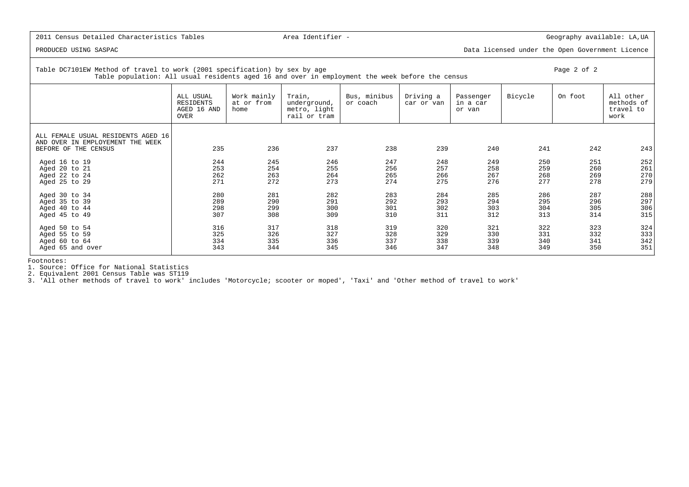PRODUCED USING SASPAC Data licensed under the Open Government Licence

| Table DC7101EW Method of travel to work (2001 specification) by sex by age<br>Table population: All usual residents aged 16 and over in employment the week before the census | Page 2 of 2                                   |                                   |                                                        |                          |                         |                                 |         |         |                                              |
|-------------------------------------------------------------------------------------------------------------------------------------------------------------------------------|-----------------------------------------------|-----------------------------------|--------------------------------------------------------|--------------------------|-------------------------|---------------------------------|---------|---------|----------------------------------------------|
|                                                                                                                                                                               | ALL USUAL<br>RESIDENTS<br>AGED 16 AND<br>OVER | Work mainly<br>at or from<br>home | Train,<br>underground,<br>metro, light<br>rail or tram | Bus, minibus<br>or coach | Driving a<br>car or van | Passenger<br>in a car<br>or van | Bicycle | On foot | All other<br>methods of<br>travel to<br>work |
| ALL FEMALE USUAL RESIDENTS AGED 16<br>AND OVER IN EMPLOYEMENT THE WEEK<br>BEFORE OF THE CENSUS                                                                                | 235                                           | 236                               | 237                                                    | 238                      | 239                     | 240                             | 241     | 242     | 243                                          |
|                                                                                                                                                                               | 244                                           | 245                               | 246                                                    | 247                      | 248                     | 249                             | 250     | 251     | 252                                          |
| Aged 16 to 19<br>Aged 20 to 21                                                                                                                                                | 253                                           | 254                               | 255                                                    | 256                      | 257                     | 258                             | 259     | 260     | 261                                          |
| Aged 22 to 24                                                                                                                                                                 | 262                                           | 263                               | 264                                                    | 265                      | 266                     | 267                             | 268     | 269     | 270                                          |
| Aged 25 to 29                                                                                                                                                                 | 271                                           | 272                               | 273                                                    | 274                      | 275                     | 276                             | 277     | 278     | 279                                          |
| Aged 30 to 34                                                                                                                                                                 | 280                                           | 281                               | 282                                                    | 283                      | 284                     | 285                             | 286     | 287     | 288                                          |
| Aged 35 to 39                                                                                                                                                                 | 289                                           | 290                               | 291                                                    | 292                      | 293                     | 294                             | 295     | 296     | 297                                          |
| Aged 40 to 44                                                                                                                                                                 | 298                                           | 299                               | 300                                                    | 301                      | 302                     | 303                             | 304     | 305     | 306                                          |
| Aged 45 to 49                                                                                                                                                                 | 307                                           | 308                               | 309                                                    | 310                      | 311                     | 312                             | 313     | 314     | 315                                          |
| Aged 50 to 54                                                                                                                                                                 | 316                                           | 317                               | 318                                                    | 319                      | 320                     | 321                             | 322     | 323     | 324                                          |
| Aged 55 to 59                                                                                                                                                                 | 325                                           | 326                               | 327                                                    | 328                      | 329                     | 330                             | 331     | 332     | 333                                          |
| Aged 60 to 64                                                                                                                                                                 | 334                                           | 335                               | 336                                                    | 337                      | 338                     | 339                             | 340     | 341     | 342                                          |
| Aged 65 and over                                                                                                                                                              | 343                                           | 344                               | 345                                                    | 346                      | 347                     | 348                             | 349     | 350     | 351                                          |

Footnotes:

1. Source: Office for National Statistics

2. Equivalent 2001 Census Table was ST119 3. 'All other methods of travel to work' includes 'Motorcycle; scooter or moped', 'Taxi' and 'Other method of travel to work'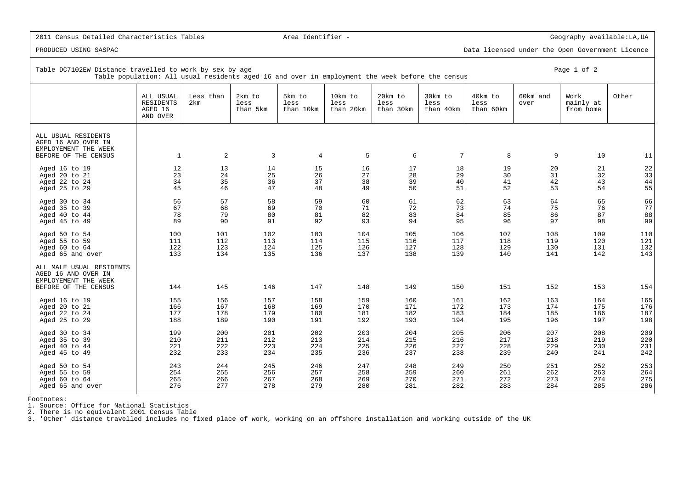PRODUCED USING SASPAC Data licensed under the Open Government Licence

| Table DC7102EW Distance travelled to work by sex by age<br>Page 1 of 2<br>Table population: All usual residents aged 16 and over in employment the week before the census |                                                      |                  |                            |                             |                              |                              |                              |                              |                  |                                |       |
|---------------------------------------------------------------------------------------------------------------------------------------------------------------------------|------------------------------------------------------|------------------|----------------------------|-----------------------------|------------------------------|------------------------------|------------------------------|------------------------------|------------------|--------------------------------|-------|
|                                                                                                                                                                           | ALL USUAL<br><b>RESIDENTS</b><br>AGED 16<br>AND OVER | Less than<br>2km | 2km to<br>less<br>than 5km | 5km to<br>less<br>than 10km | 10km to<br>less<br>than 20km | 20km to<br>less<br>than 30km | 30km to<br>less<br>than 40km | 40km to<br>less<br>than 60km | 60km and<br>over | Work<br>mainly at<br>from home | Other |
| ALL USUAL RESIDENTS<br>AGED 16 AND OVER IN<br>EMPLOYEMENT THE WEEK<br>BEFORE OF THE CENSUS                                                                                | <sup>1</sup>                                         | 2                | 3                          | 4                           | 5                            | 6                            | $7\phantom{.0}$              | 8                            | 9                | 10                             | 11    |
| Aged 16 to 19                                                                                                                                                             | 12                                                   | 13               | 14                         | 15                          | 16                           | 17                           | 18                           | 19                           | 20               | 21                             | 22    |
| Aged 20 to 21                                                                                                                                                             | 23                                                   | 24               | 25                         | 26                          | 27                           | 28                           | 29                           | 30                           | 31               | 32                             | 33    |
| Aged 22 to 24                                                                                                                                                             | 34                                                   | 35               | 36                         | 37                          | 38                           | 39                           | 40                           | 41                           | 42               | 43                             | 44    |
| Aged 25 to 29                                                                                                                                                             | 45                                                   | 46               | 47                         | 48                          | 49                           | 50                           | 51                           | 52                           | 53               | 54                             | 55    |
| Aged 30 to 34                                                                                                                                                             | 56                                                   | 57               | 58                         | 59                          | 60                           | 61                           | 62                           | 63                           | 64               | 65                             | 66    |
| Aged 35 to 39                                                                                                                                                             | 67                                                   | 68               | 69                         | 70                          | 71                           | 72                           | 73                           | 74                           | 75               | 76                             | 77    |
| Aged 40 to 44                                                                                                                                                             | 78                                                   | 79               | 80                         | 81                          | 82                           | 83                           | 84                           | 85                           | 86               | 87                             | 88    |
| Aged 45 to 49                                                                                                                                                             | 89                                                   | 90               | 91                         | 92                          | 93                           | 94                           | 95                           | 96                           | 97               | 98                             | 99    |
| Aged 50 to 54                                                                                                                                                             | 100                                                  | 101              | 102                        | 103                         | 104                          | 105                          | 106                          | 107                          | 108              | 109                            | 110   |
| Aged 55 to 59                                                                                                                                                             | 111                                                  | 112              | 113                        | 114                         | 115                          | 116                          | 117                          | 118                          | 119              | 120                            | 121   |
| Aged 60 to 64                                                                                                                                                             | 122                                                  | 123              | 124                        | 125                         | 126                          | 127                          | 128                          | 129                          | 130              | 131                            | 132   |
| Aged 65 and over                                                                                                                                                          | 133                                                  | 134              | 135                        | 136                         | 137                          | 138                          | 139                          | 140                          | 141              | 142                            | 143   |
| ALL MALE USUAL RESIDENTS<br>AGED 16 AND OVER IN<br>EMPLOYEMENT THE WEEK<br>BEFORE OF THE CENSUS                                                                           | 144                                                  | 145              | 146                        | 147                         | 148                          | 149                          | 150                          | 151                          | 152              | 153                            | 154   |
| Aged 16 to 19                                                                                                                                                             | 155                                                  | 156              | 157                        | 158                         | 159                          | 160                          | 161                          | 162                          | 163              | 164                            | 165   |
| Aged 20 to 21                                                                                                                                                             | 166                                                  | 167              | 168                        | 169                         | 170                          | 171                          | 172                          | 173                          | 174              | 175                            | 176   |
| Aged 22 to 24                                                                                                                                                             | 177                                                  | 178              | 179                        | 180                         | 181                          | 182                          | 183                          | 184                          | 185              | 186                            | 187   |
| Aged 25 to 29                                                                                                                                                             | 188                                                  | 189              | 190                        | 191                         | 192                          | 193                          | 194                          | 195                          | 196              | 197                            | 198   |
| Aged 30 to 34                                                                                                                                                             | 199                                                  | 200              | 201                        | 202                         | 203                          | 204                          | 205                          | 206                          | 207              | 208                            | 209   |
| Aged 35 to 39                                                                                                                                                             | 210                                                  | 211              | 212                        | 213                         | 214                          | 215                          | 216                          | 217                          | 218              | 219                            | 220   |
| Aged 40 to 44                                                                                                                                                             | 221                                                  | 222              | 223                        | 224                         | 225                          | 226                          | 227                          | 228                          | 229              | 230                            | 231   |
| Aged 45 to 49                                                                                                                                                             | 232                                                  | 233              | 234                        | 235                         | 236                          | 237                          | 238                          | 239                          | 240              | 241                            | 242   |
| Aged 50 to 54                                                                                                                                                             | 243                                                  | 244              | 245                        | 246                         | 247                          | 248                          | 249                          | 250                          | 251              | 252                            | 253   |
| Aged 55 to 59                                                                                                                                                             | 254                                                  | 255              | 256                        | 257                         | 258                          | 259                          | 260                          | 261                          | 262              | 263                            | 264   |
| Aged 60 to 64                                                                                                                                                             | 265                                                  | 266              | 267                        | 268                         | 269                          | 270                          | 271                          | 272                          | 273              | 274                            | 275   |
| Aged 65 and over                                                                                                                                                          | 276                                                  | 277              | 278                        | 279                         | 280                          | 281                          | 282                          | 283                          | 284              | 285                            | 286   |

Footnotes:

1. Source: Office for National Statistics 2. There is no equivalent 2001 Census Table 3. 'Other' distance travelled includes no fixed place of work, working on an offshore installation and working outside of the UK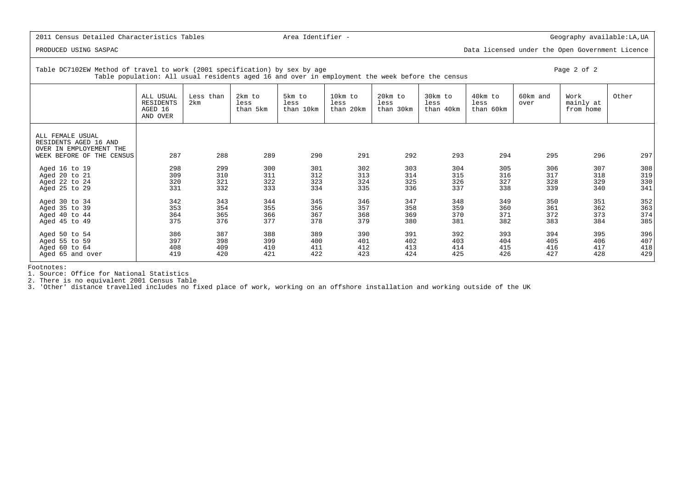PRODUCED USING SASPAC Data licensed under the Open Government Licence

Table DC7102EW Method of travel to work (2001 specification) by sex by age Page Page 2 of 2 Table population: All usual residents aged 16 and over in employment the week before the censusALL USUAL Less than 2km to 5km to 10km to 20km to 30km to 40km to 60km and Work other

|                                                                                                   | RESIDENTS<br>AGED 16<br>AND OVER | 2km | less<br>than 5km | less<br>than 10km | less<br>than 20km | less<br>than 30km | less<br>than 40km | less<br>than 60km | over | mainly at<br>from home |     |
|---------------------------------------------------------------------------------------------------|----------------------------------|-----|------------------|-------------------|-------------------|-------------------|-------------------|-------------------|------|------------------------|-----|
| ALL FEMALE USUAL<br>RESIDENTS AGED 16 AND<br>OVER IN EMPLOYEMENT THE<br>WEEK BEFORE OF THE CENSUS | 287                              | 288 | 289              | 290               | 291               | 292               | 293               | 294               | 295  | 296                    | 297 |
| Aged 16 to 19                                                                                     | 298                              | 299 | 300              | 301               | 302               | 303               | 304               | 305               | 306  | 307                    | 308 |
| Aged 20 to 21                                                                                     | 309                              | 310 | 311              | 312               | 313               | 314               | 315               | 316               | 317  | 318                    | 319 |
| Aged 22 to 24                                                                                     | 320                              | 321 | 322              | 323               | 324               | 325               | 326               | 327               | 328  | 329                    | 330 |
| Aged 25 to 29                                                                                     | 331                              | 332 | 333              | 334               | 335               | 336               | 337               | 338               | 339  | 340                    | 341 |
| Aged 30 to 34                                                                                     | 342                              | 343 | 344              | 345               | 346               | 347               | 348               | 349               | 350  | 351                    | 352 |
| Aged 35 to 39                                                                                     | 353                              | 354 | 355              | 356               | 357               | 358               | 359               | 360               | 361  | 362                    | 363 |
| Aged 40 to 44                                                                                     | 364                              | 365 | 366              | 367               | 368               | 369               | 370               | 371               | 372  | 373                    | 374 |
| Aged 45 to 49                                                                                     | 375                              | 376 | 377              | 378               | 379               | 380               | 381               | 382               | 383  | 384                    | 385 |
| Aged 50 to 54                                                                                     | 386                              | 387 | 388              | 389               | 390               | 391               | 392               | 393               | 394  | 395                    | 396 |
| Aged 55 to 59                                                                                     | 397                              | 398 | 399              | 400               | 401               | 402               | 403               | 404               | 405  | 406                    | 407 |
| Aged $60$ to $64$                                                                                 | 408                              | 409 | 410              | 411               | 412               | 413               | 414               | 415               | 416  | 417                    | 418 |
| Aged 65 and over                                                                                  | 419                              | 420 | 421              | 422               | 423               | 424               | 425               | 426               | 427  | 428                    | 429 |

Footnotes:

1. Source: Office for National Statistics

2. There is no equivalent 2001 Census Table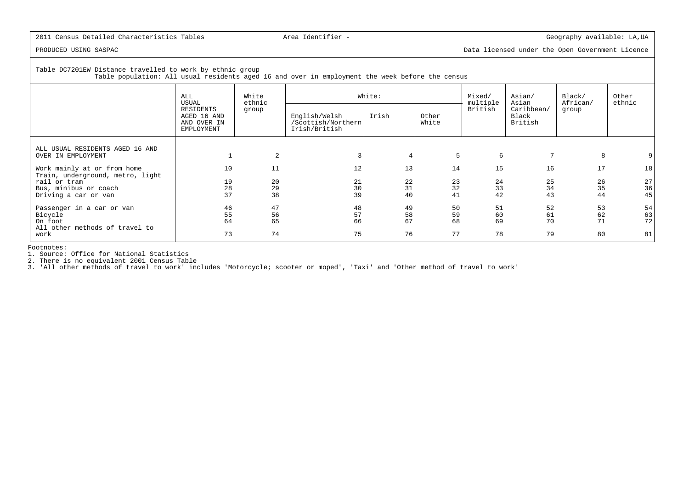PRODUCED USING SASPAC Data licensed under the Open Government Licence

Table DC7201EW Distance travelled to work by ethnic group Table population: All usual residents aged 16 and over in employment the week before the census

|                                  | White<br>ALL<br>ethnic<br>USUAL                       |                                                               |    | White:                  |    |                     |                                | Black/<br>African/ | Other<br>ethnic |
|----------------------------------|-------------------------------------------------------|---------------------------------------------------------------|----|-------------------------|----|---------------------|--------------------------------|--------------------|-----------------|
|                                  | RESIDENTS<br>AGED 16 AND<br>AND OVER IN<br>EMPLOYMENT | group<br>English/Welsh<br>/Scottish/Northern<br>Irish/British |    | Irish<br>Other<br>White |    | multiple<br>British | Caribbean/<br>Black<br>British | group              |                 |
|                                  |                                                       |                                                               |    |                         |    |                     |                                |                    |                 |
| ALL USUAL RESIDENTS AGED 16 AND  |                                                       |                                                               |    |                         |    |                     |                                |                    |                 |
| OVER IN EMPLOYMENT               |                                                       | 2                                                             | 3  | $\overline{4}$          | 5  | 6                   | 7                              | 8                  |                 |
| Work mainly at or from home      | 10                                                    | 11                                                            | 12 | 13                      | 14 | 15                  | 16                             | 17                 | 18              |
| Train, underground, metro, light |                                                       |                                                               |    |                         |    |                     |                                |                    |                 |
| rail or tram                     | 19                                                    | 20                                                            | 21 | 22                      | 23 | 24                  | 25                             | 26                 | 27              |
| Bus, minibus or coach            | 28                                                    | 29                                                            | 30 | 31                      | 32 | 33                  | 34                             | 35                 | 36              |
| Driving a car or van             | 37                                                    | 38                                                            | 39 | 40                      | 41 | 42                  | 43                             | 44                 | 45              |
|                                  |                                                       |                                                               |    |                         |    |                     |                                |                    |                 |
| Passenger in a car or van        | 46                                                    | 47                                                            | 48 | 49                      | 50 | 51                  | 52                             | 53                 | 54              |
| Bicycle                          | 55                                                    | 56                                                            | 57 | 58                      | 59 | 60                  | 61                             | 62                 | 63              |
| On foot                          | 64                                                    | 65                                                            | 66 | 67                      | 68 | 69                  | 70                             | 71                 | 72              |
| All other methods of travel to   |                                                       |                                                               |    |                         |    |                     |                                |                    |                 |
| work                             | 73                                                    | 74                                                            | 75 | 76                      | 77 | 78                  | 79                             | 80                 | 81              |
|                                  |                                                       |                                                               |    |                         |    |                     |                                |                    |                 |

Footnotes:

1. Source: Office for National Statistics

2. There is no equivalent 2001 Census Table 3. 'All other methods of travel to work' includes 'Motorcycle; scooter or moped', 'Taxi' and 'Other method of travel to work'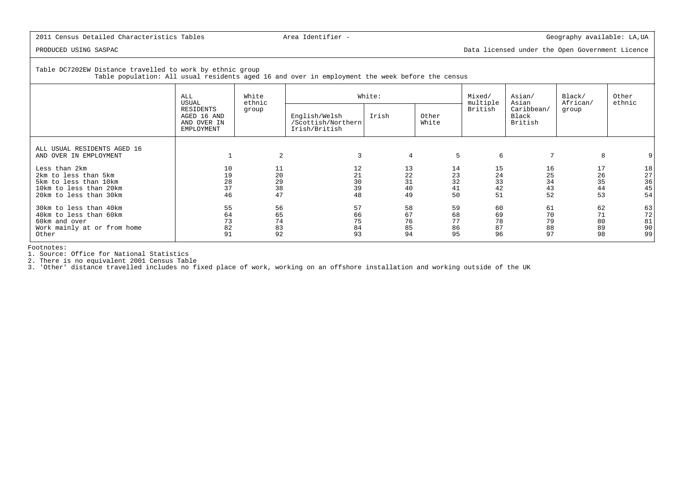PRODUCED USING SASPAC Data licensed under the Open Government Licence

Table DC7202EW Distance travelled to work by ethnic group

Table population: All usual residents aged 16 and over in employment the week before the census

|                             | White<br>ALL<br>ethnic<br>USUAL                       |       |                                                      | White:         |                | Mixed/<br>multiple | Asian/<br>Asian                | Black/<br>African/ | Other<br>ethnic |
|-----------------------------|-------------------------------------------------------|-------|------------------------------------------------------|----------------|----------------|--------------------|--------------------------------|--------------------|-----------------|
|                             | RESIDENTS<br>AGED 16 AND<br>AND OVER IN<br>EMPLOYMENT | group | English/Welsh<br>/Scottish/Northern<br>Irish/British | Irish          | Other<br>White | British            | Caribbean/<br>Black<br>British | group              |                 |
| ALL USUAL RESIDENTS AGED 16 |                                                       |       |                                                      |                |                |                    |                                |                    |                 |
| AND OVER IN EMPLOYMENT      |                                                       | 2     | 3                                                    | $\overline{4}$ | 5              | 6                  | 7                              | 8                  |                 |
| Less than 2km               | 10                                                    |       | 12                                                   | 13             | 14             | 15                 | 16                             | 17                 | 18              |
| 2km to less than 5km        | 19                                                    | 20    | 21                                                   | 22             | 23             | 24                 | 25                             | 26                 |                 |
| 5km to less than 10km       | 28                                                    | 29    | 30                                                   | 31             | 32             | 33                 | 34                             | 35                 | $\frac{27}{36}$ |
| 10km to less than 20km      | 37                                                    | 38    | 39                                                   | 40             | 41             | 42                 | 43                             | 44                 | 45              |
| 20km to less than 30km      | 46                                                    | 47    | 48                                                   | 49             | 50             | 51                 | 52                             | 53                 | 54              |
| 30km to less than 40km      | 55                                                    | 56    | 57                                                   | 58             | 59             | 60                 | 61                             | 62                 | 63              |
| 40km to less than 60km      | 64                                                    | 65    | 66                                                   | 67             | 68             | 69                 | 70                             | 71                 | 72              |
| 60km and over               | 73                                                    | 74    | 75                                                   | 76             | 77             | 78                 | 79                             | 80                 | 81              |
| Work mainly at or from home | 82                                                    | 83    | 84                                                   | 85             | 86             | 87                 | 88                             | 89                 | 90              |
| Other                       | 91                                                    | 92    | 93                                                   | 94             | 95             | 96                 | 97                             | 98                 | 99              |

Footnotes:

1. Source: Office for National Statistics

2. There is no equivalent 2001 Census Table 3. 'Other' distance travelled includes no fixed place of work, working on an offshore installation and working outside of the UK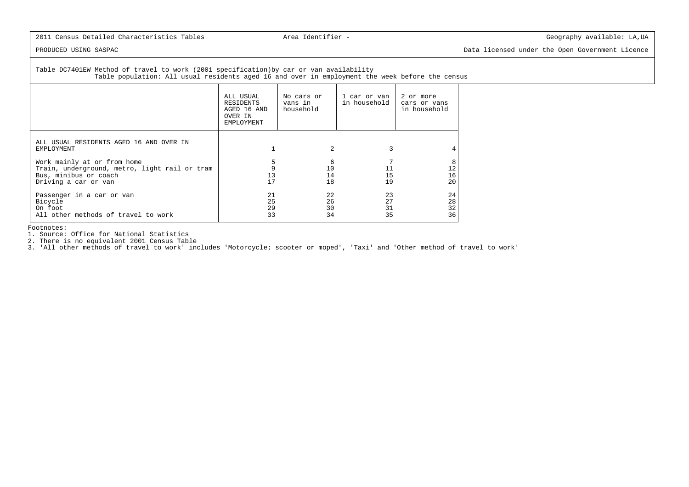PRODUCED USING SASPAC Data licensed under the Open Government Licence

Table DC7401EW Method of travel to work (2001 specification)by car or van availability Table population: All usual residents aged 16 and over in employment the week before the census

|                                                                                                                               | ALL USUAL<br>RESIDENTS<br>AGED 16 AND<br>OVER IN<br>EMPLOYMENT | No cars or<br>vans in<br>household | 1 car or van l<br>in household | 2 or more<br>cars or vans<br>in household |
|-------------------------------------------------------------------------------------------------------------------------------|----------------------------------------------------------------|------------------------------------|--------------------------------|-------------------------------------------|
| ALL USUAL RESIDENTS AGED 16 AND OVER IN<br>EMPLOYMENT                                                                         |                                                                | $\overline{a}$                     | 3                              |                                           |
| Work mainly at or from home<br>Train, underground, metro, light rail or tram<br>Bus, minibus or coach<br>Driving a car or van | 13<br>17                                                       | 6<br>10<br>14<br>18                | 11<br>15<br>19                 | 8<br>12<br>16<br>20                       |
| Passenger in a car or van<br>Bicycle<br>On foot<br>All other methods of travel to work                                        | 21<br>25<br>29<br>33                                           | 22<br>26<br>30<br>34               | 23<br>27<br>31<br>35           | 24<br>28<br>32<br>36                      |

Footnotes:

1. Source: Office for National Statistics 2. There is no equivalent 2001 Census Table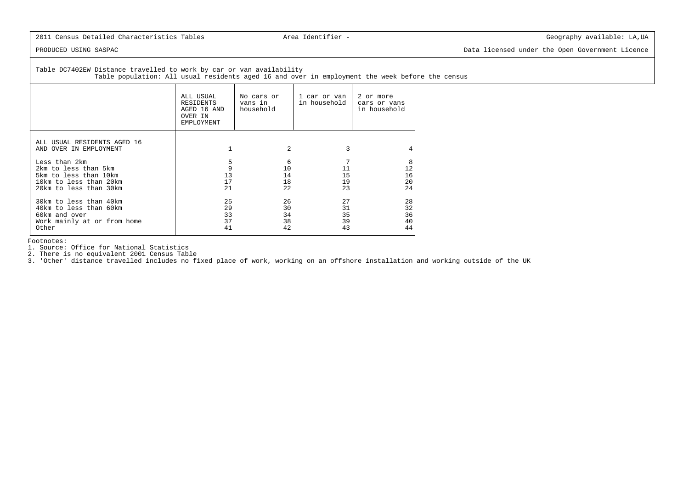PRODUCED USING SASPAC Data licensed under the Open Government Licence

# Table DC7402EW Distance travelled to work by car or van availability

Table population: All usual residents aged 16 and over in employment the week before the census

|                                                                                                                    | ALL USUAL<br>RESIDENTS<br>AGED 16 AND<br>OVER IN<br><b>EMPLOYMENT</b> | No cars or<br>vans in<br>household | 1 car or van<br>in household | 2 or more<br>cars or vans<br>in household |
|--------------------------------------------------------------------------------------------------------------------|-----------------------------------------------------------------------|------------------------------------|------------------------------|-------------------------------------------|
| ALL USUAL RESIDENTS AGED 16<br>AND OVER IN EMPLOYMENT                                                              |                                                                       | $\mathfrak{D}$                     |                              |                                           |
| Less than 2km<br>2km to less than 5km<br>5km to less than 10km<br>10km to less than 20km<br>20km to less than 30km | 5<br>9<br>13<br>17<br>21                                              | 6<br>10<br>14<br>18<br>2.2         | 11<br>15<br>19<br>23         | 8<br>12<br>16<br>20<br>24                 |
| 30km to less than 40km<br>40km to less than 60km<br>60km and over<br>Work mainly at or from home<br>Other          | 25<br>29<br>33<br>37<br>41                                            | 26<br>30<br>34<br>38<br>42         | 27<br>31<br>35<br>39<br>43   | 28<br>32<br>36<br>40<br>44                |

Footnotes:

1. Source: Office for National Statistics

2. There is no equivalent 2001 Census Table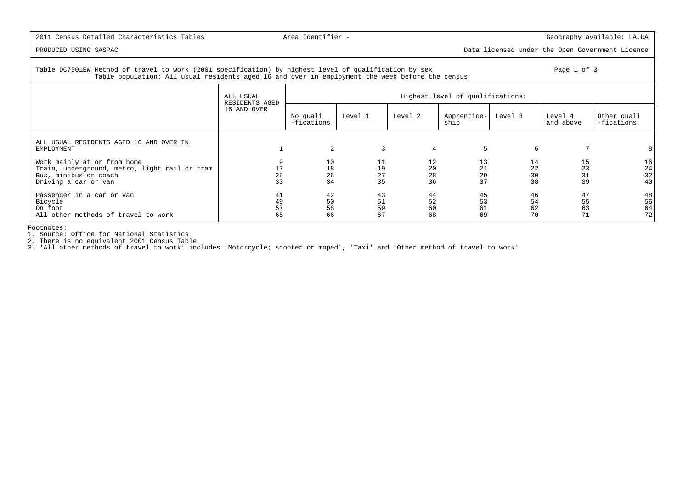# PRODUCED USING SASPAC Data licensed under the Open Government Licence

### Table DC7501EW Method of travel to work (2001 specification) by highest level of qualification by sex Page 1 of 3 Table population: All usual residents aged 16 and over in employment the week before the census

|                                                                                                                               | ALL USUAL            | Highest level of qualifications:<br>RESIDENTS AGED |                      |                      |                      |                      |                      |                                                     |  |
|-------------------------------------------------------------------------------------------------------------------------------|----------------------|----------------------------------------------------|----------------------|----------------------|----------------------|----------------------|----------------------|-----------------------------------------------------|--|
|                                                                                                                               | 16 AND OVER          | No quali<br>-fications                             | Level 1              | Level 2              | Apprentice-<br>ship  | Level 3              | Level 4<br>and above | Other quali<br>-fications                           |  |
| ALL USUAL RESIDENTS AGED 16 AND OVER IN<br>EMPLOYMENT                                                                         |                      | $\overline{2}$                                     | 3                    | 4                    | 5                    | 6                    |                      |                                                     |  |
| Work mainly at or from home<br>Train, underground, metro, light rail or tram<br>Bus, minibus or coach<br>Driving a car or van | 17<br>25<br>33       | 10<br>18<br>26<br>34                               | 11<br>19<br>27<br>35 | 12<br>20<br>28<br>36 | 13<br>21<br>29<br>37 | 14<br>22<br>30<br>38 | 15<br>23<br>31<br>39 | 16<br>$\begin{array}{c} 24 \\ 32 \end{array}$<br>40 |  |
| Passenger in a car or van<br>Bicycle<br>On foot<br>All other methods of travel to work                                        | 41<br>49<br>57<br>65 | 42<br>50<br>58<br>66                               | 43<br>51<br>59<br>67 | 44<br>52<br>60<br>68 | 45<br>53<br>61<br>69 | 46<br>54<br>62<br>70 | 47<br>55<br>63<br>71 | 48<br>56<br>64<br>72                                |  |

Footnotes:

1. Source: Office for National Statistics 2. There is no equivalent 2001 Census Table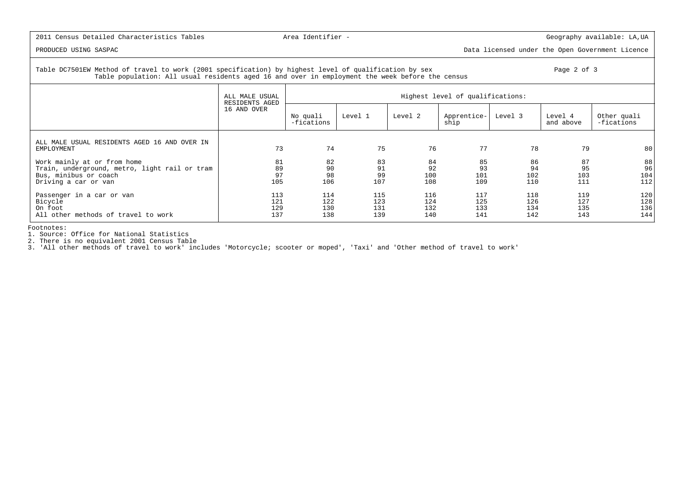PRODUCED USING SASPAC Data licensed under the Open Government Licence

### Table DC7501EW Method of travel to work (2001 specification) by highest level of qualification by sex Page 2 of 3 Table population: All usual residents aged 16 and over in employment the week before the census

|                                                                                                                               | ALL MALE USUAL           | Highest level of qualifications:<br>RESIDENTS AGED |                          |                          |                          |                          |                          |                           |  |  |
|-------------------------------------------------------------------------------------------------------------------------------|--------------------------|----------------------------------------------------|--------------------------|--------------------------|--------------------------|--------------------------|--------------------------|---------------------------|--|--|
|                                                                                                                               | 16 AND OVER              | No quali<br>-fications                             | Level 1                  | Level 2                  | Apprentice-<br>ship      | Level 3                  | Level 4<br>and above     | Other quali<br>-fications |  |  |
| ALL MALE USUAL RESIDENTS AGED 16 AND OVER IN<br>EMPLOYMENT                                                                    | 73                       | 74                                                 | 75                       | 76                       | 77                       | 78                       | 79                       | 80                        |  |  |
| Work mainly at or from home<br>Train, underground, metro, light rail or tram<br>Bus, minibus or coach<br>Driving a car or van | 81<br>89<br>97<br>105    | 82<br>90<br>98<br>106                              | 83<br>91<br>99<br>107    | 84<br>92<br>100<br>108   | 85<br>93<br>101<br>109   | 86<br>94<br>102<br>110   | 87<br>95<br>103<br>111   | 88<br>96<br>104<br>112    |  |  |
| Passenger in a car or van<br>Bicycle<br>On foot<br>All other methods of travel to work                                        | 113<br>121<br>129<br>137 | 114<br>122<br>130<br>138                           | 115<br>123<br>131<br>139 | 116<br>124<br>132<br>140 | 117<br>125<br>133<br>141 | 118<br>126<br>134<br>142 | 119<br>127<br>135<br>143 | 120<br>128<br>136<br>144  |  |  |

Footnotes:

1. Source: Office for National Statistics 2. There is no equivalent 2001 Census Table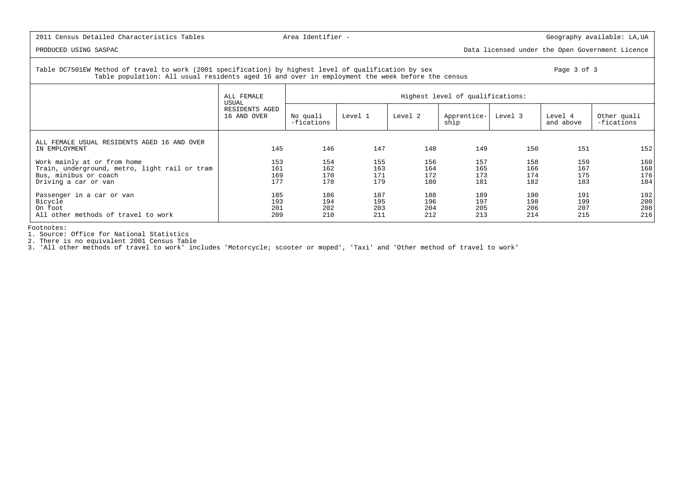# PRODUCED USING SASPAC Data licensed under the Open Government Licence

### Table DC7501EW Method of travel to work (2001 specification) by highest level of qualification by sex Page 3 of 3 Page 3 of 3 Table population: All usual residents aged 16 and over in employment the week before the census

|                                                                                                                               | ALL FEMALE<br>USUAL           | Highest level of qualifications: |                          |                          |                          |                          |                          |                           |  |  |
|-------------------------------------------------------------------------------------------------------------------------------|-------------------------------|----------------------------------|--------------------------|--------------------------|--------------------------|--------------------------|--------------------------|---------------------------|--|--|
|                                                                                                                               | RESIDENTS AGED<br>16 AND OVER | No quali<br>-fications           | Level 1                  | Level 2                  | Apprentice-<br>ship      | Level 3                  | Level 4<br>and above     | Other quali<br>-fications |  |  |
| ALL FEMALE USUAL RESIDENTS AGED 16 AND OVER<br>IN EMPLOYMENT                                                                  | 145                           | 146                              | 147                      | 148                      | 149                      | 150                      | 151                      | 152                       |  |  |
| Work mainly at or from home<br>Train, underground, metro, light rail or tram<br>Bus, minibus or coach<br>Driving a car or van | 153<br>161<br>169<br>177      | 154<br>162<br>170<br>178         | 155<br>163<br>171<br>179 | 156<br>164<br>172<br>180 | 157<br>165<br>173<br>181 | 158<br>166<br>174<br>182 | 159<br>167<br>175<br>183 | 160<br>168<br>176<br>184  |  |  |
| Passenger in a car or van<br>Bicycle<br>On foot<br>All other methods of travel to work                                        | 185<br>193<br>201<br>209      | 186<br>194<br>202<br>210         | 187<br>195<br>203<br>211 | 188<br>196<br>204<br>212 | 189<br>197<br>205<br>213 | 190<br>198<br>206<br>214 | 191<br>199<br>207<br>215 | 192<br>200<br>208<br>216  |  |  |

Footnotes:

1. Source: Office for National Statistics 2. There is no equivalent 2001 Census Table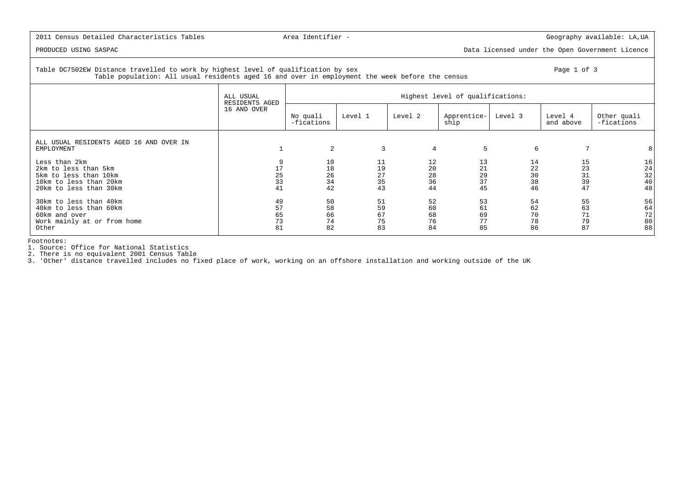PRODUCED USING SASPAC Data licensed under the Open Government Licence

### Table DC7502EW Distance travelled to work by highest level of qualification by sex Page 1 of 3 Table population: All usual residents aged 16 and over in employment the week before the census

|                                                                                                                    | ALL USUAL<br>RESIDENTS AGED |                            |                            |                            | Highest level of qualifications: |                              |                            |                            |
|--------------------------------------------------------------------------------------------------------------------|-----------------------------|----------------------------|----------------------------|----------------------------|----------------------------------|------------------------------|----------------------------|----------------------------|
|                                                                                                                    | 16 AND OVER                 | No quali<br>-fications     | Level 1                    | Level 2                    | Apprentice-<br>ship              | Level 3                      | Level 4<br>and above       | Other quali<br>-fications  |
| ALL USUAL RESIDENTS AGED 16 AND OVER IN<br>EMPLOYMENT                                                              |                             | 2                          | 3                          | $\overline{4}$             | 5                                | 6                            |                            | 8                          |
| Less than 2km<br>2km to less than 5km<br>5km to less than 10km<br>10km to less than 20km<br>20km to less than 30km | 9<br>17<br>25<br>33<br>41   | 10<br>18<br>26<br>34<br>42 | 11<br>19<br>27<br>35<br>43 | 12<br>20<br>28<br>36<br>44 | 13<br>21<br>29<br>37<br>45       | 14<br>22<br>$30$<br>38<br>46 | 15<br>23<br>31<br>39<br>47 | 16<br>24<br>32<br>40<br>48 |
| 30km to less than 40km<br>40km to less than 60km<br>60km and over<br>Work mainly at or from home<br>Other          | 49<br>57<br>65<br>73<br>81  | 50<br>58<br>66<br>74<br>82 | 51<br>59<br>67<br>75<br>83 | 52<br>60<br>68<br>76<br>84 | 53<br>61<br>69<br>77<br>85       | 54<br>62<br>70<br>78<br>86   | 55<br>63<br>71<br>79<br>87 | 56<br>64<br>72<br>80<br>88 |

Footnotes:

1. Source: Office for National Statistics

2. There is no equivalent 2001 Census Table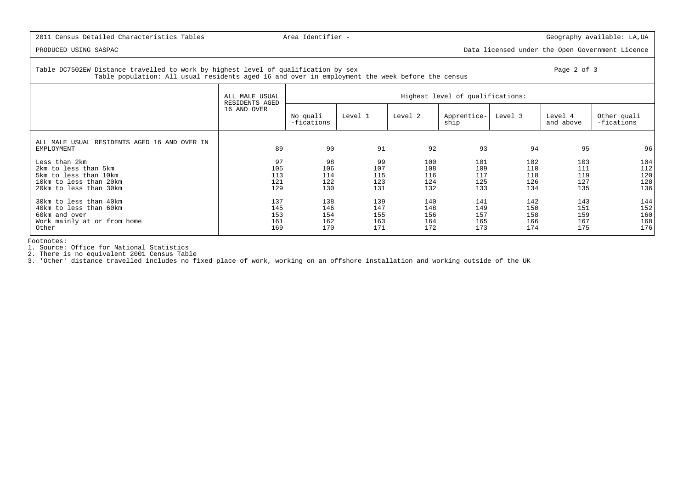PRODUCED USING SASPAC Data licensed under the Open Government Licence

### Table DC7502EW Distance travelled to work by highest level of qualification by sex Page 2 of 3 Table population: All usual residents aged 16 and over in employment the week before the census

|                                                                                                                    | ALL MALE USUAL<br>RESIDENTS AGED |                                 |                                 |                                 | Highest level of qualifications: |                                 |                                 |                                 |
|--------------------------------------------------------------------------------------------------------------------|----------------------------------|---------------------------------|---------------------------------|---------------------------------|----------------------------------|---------------------------------|---------------------------------|---------------------------------|
|                                                                                                                    | 16 AND OVER                      | No quali<br>-fications          | Level 1                         | Level 2                         | Apprentice-<br>ship              | Level 3                         | Level 4<br>and above            | Other quali<br>-fications       |
| ALL MALE USUAL RESIDENTS AGED 16 AND OVER IN<br>EMPLOYMENT                                                         | 89                               | 90                              | 91                              | 92                              | 93                               | 94                              | 95                              | 96                              |
| Less than 2km<br>2km to less than 5km<br>5km to less than 10km<br>10km to less than 20km<br>20km to less than 30km | 97<br>105<br>113<br>121<br>129   | 98<br>106<br>114<br>122<br>130  | 99<br>107<br>115<br>123<br>131  | 100<br>108<br>116<br>124<br>132 | 101<br>109<br>117<br>125<br>133  | 102<br>110<br>118<br>126<br>134 | 103<br>111<br>119<br>127<br>135 | 104<br>112<br>120<br>128<br>136 |
| 30km to less than 40km<br>40km to less than 60km<br>60km and over<br>Work mainly at or from home<br>Other          | 137<br>145<br>153<br>161<br>169  | 138<br>146<br>154<br>162<br>170 | 139<br>147<br>155<br>163<br>171 | 140<br>148<br>156<br>164<br>172 | 141<br>149<br>157<br>165<br>173  | 142<br>150<br>158<br>166<br>174 | 143<br>151<br>159<br>167<br>175 | 144<br>152<br>160<br>168<br>176 |

Footnotes:

1. Source: Office for National Statistics

2. There is no equivalent 2001 Census Table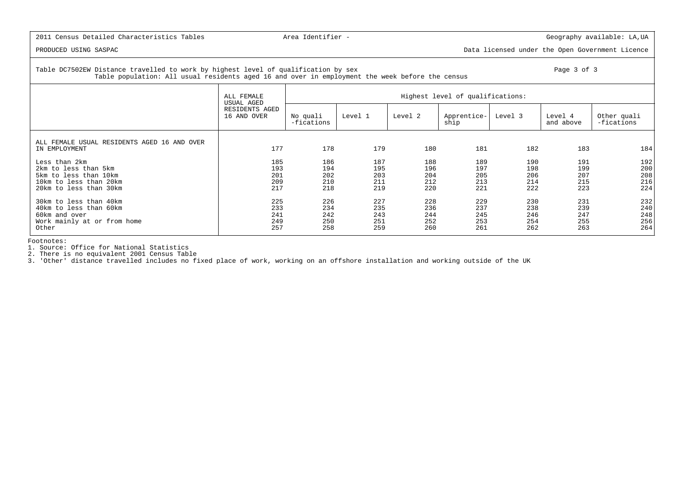PRODUCED USING SASPAC Data licensed under the Open Government Licence

### Table DC7502EW Distance travelled to work by highest level of qualification by sex Page 3 of 3 Table population: All usual residents aged 16 and over in employment the week before the census

|                                                                                                                    | ALL FEMALE                      | Highest level of qualifications:<br>USUAL AGED |                                 |                                 |                                 |                                 |                                 |                                 |  |  |  |
|--------------------------------------------------------------------------------------------------------------------|---------------------------------|------------------------------------------------|---------------------------------|---------------------------------|---------------------------------|---------------------------------|---------------------------------|---------------------------------|--|--|--|
|                                                                                                                    | RESIDENTS AGED<br>16 AND OVER   | No quali<br>-fications                         | Level 1                         | Level 2                         | Apprentice-<br>ship             | Level 3                         | Level 4<br>and above            | Other quali<br>-fications       |  |  |  |
| ALL FEMALE USUAL RESIDENTS AGED 16 AND OVER<br>IN EMPLOYMENT                                                       | 177                             | 178                                            | 179                             | 180                             | 181                             | 182                             | 183                             | 184                             |  |  |  |
| Less than 2km<br>2km to less than 5km<br>5km to less than 10km<br>10km to less than 20km<br>20km to less than 30km | 185<br>193<br>201<br>209<br>217 | 186<br>194<br>202<br>210<br>218                | 187<br>195<br>203<br>211<br>219 | 188<br>196<br>204<br>212<br>220 | 189<br>197<br>205<br>213<br>221 | 190<br>198<br>206<br>214<br>222 | 191<br>199<br>207<br>215<br>223 | 192<br>200<br>208<br>216<br>224 |  |  |  |
| 30km to less than 40km<br>40km to less than 60km<br>60km and over<br>Work mainly at or from home<br>Other          | 225<br>233<br>241<br>249<br>257 | 226<br>234<br>242<br>250<br>258                | 227<br>235<br>243<br>251<br>259 | 228<br>236<br>244<br>252<br>260 | 229<br>237<br>245<br>253<br>261 | 230<br>238<br>246<br>254<br>262 | 231<br>239<br>247<br>255<br>263 | 232<br>240<br>248<br>256<br>264 |  |  |  |

Footnotes:

1. Source: Office for National Statistics

2. There is no equivalent 2001 Census Table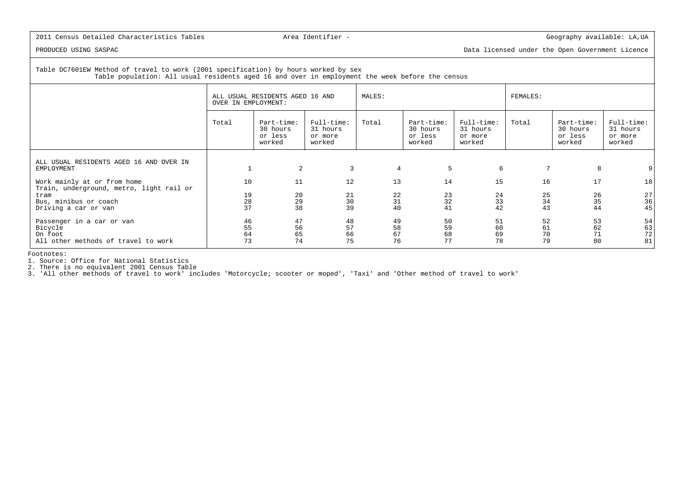PRODUCED USING SASPAC Data licensed under the Open Government Licence

 Table DC7601EW Method of travel to work (2001 specification) by hours worked by sexTable population: All usual residents aged 16 and over in employment the week before the census

|                                                                                        | ALL USUAL RESIDENTS AGED 16 AND<br>OVER IN EMPLOYMENT: |                                             |                                             | MALES:               |                                             |                                             | <b>FEMALES:</b>      |                                             |                                             |  |
|----------------------------------------------------------------------------------------|--------------------------------------------------------|---------------------------------------------|---------------------------------------------|----------------------|---------------------------------------------|---------------------------------------------|----------------------|---------------------------------------------|---------------------------------------------|--|
|                                                                                        | Total                                                  | Part-time:<br>30 hours<br>or less<br>worked | Full-time:<br>31 hours<br>or more<br>worked | Total                | Part-time:<br>30 hours<br>or less<br>worked | Full-time:<br>31 hours<br>or more<br>worked | Total                | Part-time:<br>30 hours<br>or less<br>worked | Full-time:<br>31 hours<br>or more<br>worked |  |
| ALL USUAL RESIDENTS AGED 16 AND OVER IN<br>EMPLOYMENT                                  |                                                        | 2                                           | 3                                           |                      | $\overline{4}$                              | 5<br>6                                      | 7                    | 8                                           |                                             |  |
| Work mainly at or from home<br>Train, underground, metro, light rail or                | 10                                                     | 11                                          | 12                                          | 13                   | 14                                          | 15                                          | 16                   | 17                                          | 18                                          |  |
| tram<br>Bus, minibus or coach<br>Driving a car or van                                  | 19<br>$\begin{array}{c} 28 \\ 37 \end{array}$          | 20<br>29<br>38                              | 21<br>30<br>39                              | 22<br>31<br>40       | 23<br>32<br>41                              | 24<br>33<br>42                              | 25<br>34<br>43       | 26<br>35<br>44                              | 27<br>36<br>45                              |  |
| Passenger in a car or van<br>Bicycle<br>On foot<br>All other methods of travel to work | 46<br>55<br>64<br>73                                   | 47<br>56<br>65<br>74                        | 48<br>57<br>66<br>75                        | 49<br>58<br>67<br>76 | 50<br>59<br>68<br>77                        | 51<br>60<br>69<br>78                        | 52<br>61<br>70<br>79 | 53<br>62<br>71<br>80                        | 54<br>63<br>72 <br>81                       |  |

Footnotes:

1. Source: Office for National Statistics

2. There is no equivalent 2001 Census Table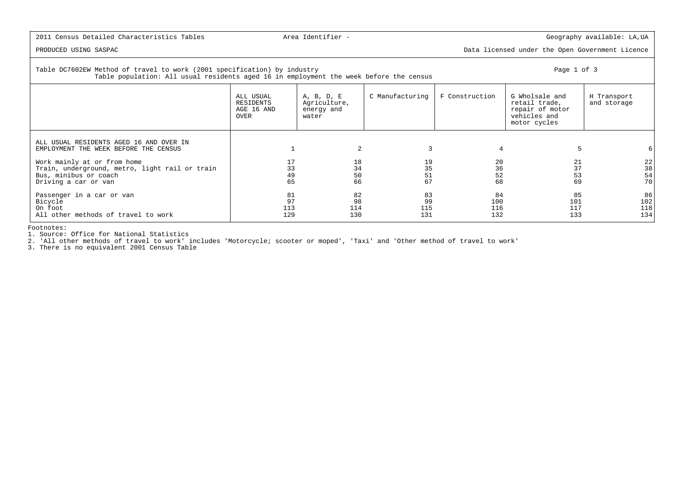PRODUCED USING SASPAC Data licensed under the Open Government Licence

| Table DC7602EW Method of travel to work (2001 specification) by industry<br>Table population: All usual residents aged 16 in employment the week before the census |                                              | Page 1 of 3                                       |                        |                         |                                                                                    |                            |
|--------------------------------------------------------------------------------------------------------------------------------------------------------------------|----------------------------------------------|---------------------------------------------------|------------------------|-------------------------|------------------------------------------------------------------------------------|----------------------------|
|                                                                                                                                                                    | ALL USUAL<br>RESIDENTS<br>AGE 16 AND<br>OVER | A, B, D, E<br>Agriculture,<br>energy and<br>water | C Manufacturing        | F Construction          | G Wholsale and<br>retail trade,<br>repair of motor<br>vehicles and<br>motor cycles | H Transport<br>and storage |
| ALL USUAL RESIDENTS AGED 16 AND OVER IN<br>EMPLOYMENT THE WEEK BEFORE THE CENSUS                                                                                   |                                              |                                                   | 3                      |                         |                                                                                    |                            |
| Work mainly at or from home<br>Train, underground, metro, light rail or train<br>Bus, minibus or coach<br>Driving a car or van                                     | 17<br>33<br>49<br>65                         | 18<br>34<br>50<br>66                              | 19<br>35<br>51<br>67   | 20<br>36<br>52<br>68    | 21<br>37<br>53<br>69                                                               | 22<br>38<br>54<br>70       |
| Passenger in a car or van<br>Bicycle<br>On foot<br>All other methods of travel to work                                                                             | 81<br>97<br>113<br>129                       | 82<br>98<br>114<br>130                            | 83<br>99<br>115<br>131 | 84<br>100<br>116<br>132 | 85<br>101<br>117<br>133                                                            | 86<br>102<br>118<br>134    |

Footnotes:

1. Source: Office for National Statistics 2. 'All other methods of travel to work' includes 'Motorcycle; scooter or moped', 'Taxi' and 'Other method of travel to work'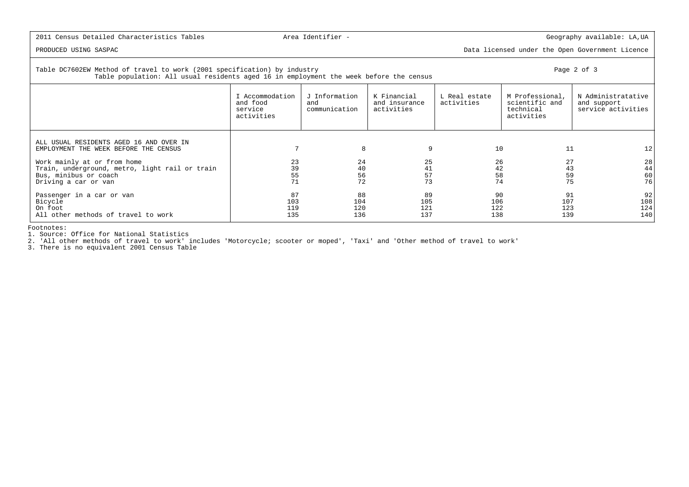PRODUCED USING SASPAC Data licensed under the Open Government Licence

### | Table DC7602EW Method of travel to work (2001 specification) by industry Page 2 of 3 Table population: All usual residents aged 16 in employment the week before the census

|                                                                                                                                                                                                                    | I Accommodation<br>and food<br>service<br>activities | J Information<br>and<br>communication | K Financial<br>and insurance<br>activities | L Real estate<br>activities | M Professional,<br>scientific and<br>technical<br>activities | N Administratative<br>and support<br>service activities |
|--------------------------------------------------------------------------------------------------------------------------------------------------------------------------------------------------------------------|------------------------------------------------------|---------------------------------------|--------------------------------------------|-----------------------------|--------------------------------------------------------------|---------------------------------------------------------|
| ALL USUAL RESIDENTS AGED 16 AND OVER IN<br>EMPLOYMENT THE WEEK BEFORE THE CENSUS<br>Work mainly at or from home<br>Train, underground, metro, light rail or train<br>Bus, minibus or coach<br>Driving a car or van | 23<br>39<br>55<br>71                                 | 8<br>24<br>40<br>56<br>72             | 9<br>25<br>41<br>57<br>73                  | 10<br>26<br>42<br>58<br>74  | 11<br>27<br>43<br>59<br>75                                   | 12<br>28<br>44<br>60<br>76                              |
| Passenger in a car or van<br>Bicycle<br>On foot<br>All other methods of travel to work                                                                                                                             | 87<br>103<br>119<br>135                              | 88<br>104<br>120<br>136               | 89<br>105<br>121<br>137                    | 90<br>106<br>122<br>138     | 91<br>107<br>123<br>139                                      | 92<br>108<br>124<br>140                                 |

Footnotes:

1. Source: Office for National Statistics

2. 'All other methods of travel to work' includes 'Motorcycle; scooter or moped', 'Taxi' and 'Other method of travel to work'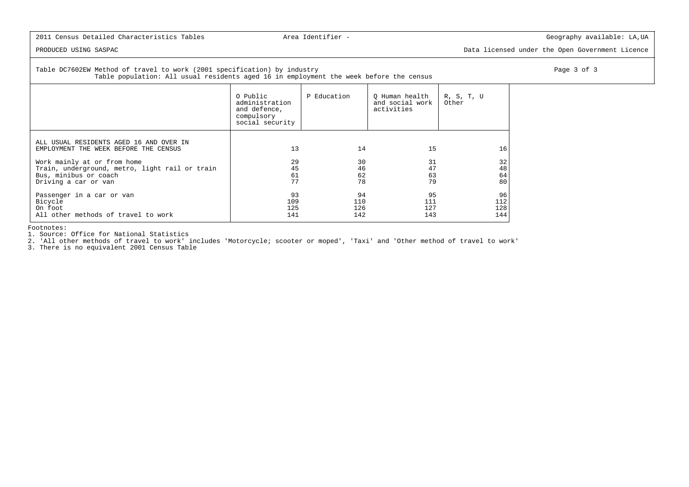PRODUCED USING SASPAC Data licensed under the Open Government Licence

Table DC7602EW Method of travel to work (2001 specification) by industry extending the state of the page 3 of 3  $\pm$ Table population: All usual residents aged 16 in employment the week before the census

|                                                                                  | O Public<br>administration<br>and defence,<br>compulsory<br>social security | P Education | O Human health<br>and social work<br>activities | R, S, T, U<br>Other |
|----------------------------------------------------------------------------------|-----------------------------------------------------------------------------|-------------|-------------------------------------------------|---------------------|
| ALL USUAL RESIDENTS AGED 16 AND OVER IN<br>EMPLOYMENT THE WEEK BEFORE THE CENSUS | 13                                                                          | 14          | 15                                              | 16                  |
| Work mainly at or from home                                                      | 29                                                                          | 30          | 31                                              | 32                  |
| Train, underground, metro, light rail or train                                   | 45                                                                          | 46          | 47                                              | 48                  |
| Bus, minibus or coach                                                            | 61                                                                          | 62          | 63                                              | 64                  |
| Driving a car or van                                                             | 77                                                                          | 78          | 79                                              | 80                  |
| Passenger in a car or van                                                        | 93                                                                          | 94          | 95                                              | 96                  |
| Bicycle                                                                          | 109                                                                         | 110         | 111                                             | 112                 |
| On foot                                                                          | 125                                                                         | 126         | 127                                             | 128                 |
| All other methods of travel to work                                              | 141                                                                         | 142         | 143                                             | 144                 |

Footnotes:

1. Source: Office for National Statistics

2. 'All other methods of travel to work' includes 'Motorcycle; scooter or moped', 'Taxi' and 'Other method of travel to work'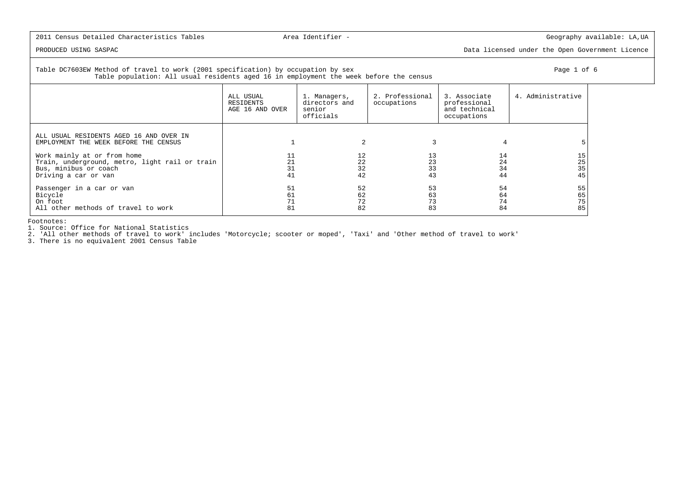PRODUCED USING SASPAC Data licensed under the Open Government Licence

### Table DC7603EW Method of travel to work (2001 specification) by occupation by sex Page 1 of 6 Table population: All usual residents aged 16 in employment the week before the census

| ALL USUAL<br>RESIDENTS<br>$\sqrt{2}$ תה <i>דור</i> המונה 1.6 הח | Managers,<br>directors and<br>$\sim$ $\sim$ $\sim$ $\sim$ $\sim$ | 2. Professional<br>occupations | 3. Associate<br>professional<br>$and +aabn+aa$ | 4. Administrative |
|-----------------------------------------------------------------|------------------------------------------------------------------|--------------------------------|------------------------------------------------|-------------------|

|                                                                                                                                | RESIDENTS<br>AGE 16 AND OVER | directors and<br>senior<br>officials | occupations          | professional<br>and technical<br>occupations |                      |
|--------------------------------------------------------------------------------------------------------------------------------|------------------------------|--------------------------------------|----------------------|----------------------------------------------|----------------------|
| ALL USUAL RESIDENTS AGED 16 AND OVER IN<br>EMPLOYMENT THE WEEK BEFORE THE CENSUS                                               |                              |                                      |                      |                                              |                      |
| Work mainly at or from home<br>Train, underground, metro, light rail or train<br>Bus, minibus or coach<br>Driving a car or van | 31<br>41                     | 12<br>22<br>32<br>42                 | 13<br>23<br>33<br>43 | 14<br>24<br>34<br>44                         | 15<br>25<br>35<br>45 |
| Passenger in a car or van<br>Bicycle<br>On foot<br>All other methods of travel to work                                         | 51<br>61<br>81               | 52<br>62<br>72<br>82                 | 53<br>63<br>73<br>83 | 54<br>64<br>74<br>84                         | 55<br>65<br>75<br>85 |

Footnotes:

1. Source: Office for National Statistics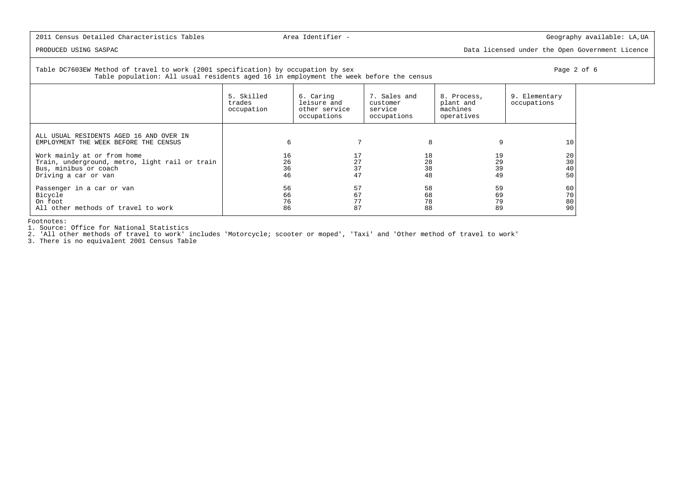PRODUCED USING SASPAC Data licensed under the Open Government Licence

### Table DC7603EW Method of travel to work (2001 specification) by occupation by sex Page 2 of 6 Table population: All usual residents aged 16 in employment the week before the census

|                                                                                                                                | 5. Skilled<br>trades<br>occupation | 6. Caring<br>leisure and<br>other service<br>occupations | 7. Sales and<br>customer<br>service<br>occupations | 8. Process,<br>plant and<br>machines<br>operatives | 9. Elementary<br>occupations |
|--------------------------------------------------------------------------------------------------------------------------------|------------------------------------|----------------------------------------------------------|----------------------------------------------------|----------------------------------------------------|------------------------------|
| ALL USUAL RESIDENTS AGED 16 AND OVER IN<br>EMPLOYMENT THE WEEK BEFORE THE CENSUS                                               | 6                                  |                                                          | 8                                                  |                                                    | 10                           |
| Work mainly at or from home<br>Train, underground, metro, light rail or train<br>Bus, minibus or coach<br>Driving a car or van | 16<br>26<br>36<br>46               | 27<br>37<br>47                                           | 18<br>28<br>38<br>48                               | 19<br>29<br>39<br>49                               | 20<br>30<br>40<br>50         |
| Passenger in a car or van<br>Bicycle<br>On foot<br>All other methods of travel to work                                         | 56<br>66<br>76<br>86               | 57<br>67<br>77<br>87                                     | 58<br>68<br>78<br>88                               | 59<br>69<br>79<br>89                               | 60<br>70<br>80<br>90         |

Footnotes:

1. Source: Office for National Statistics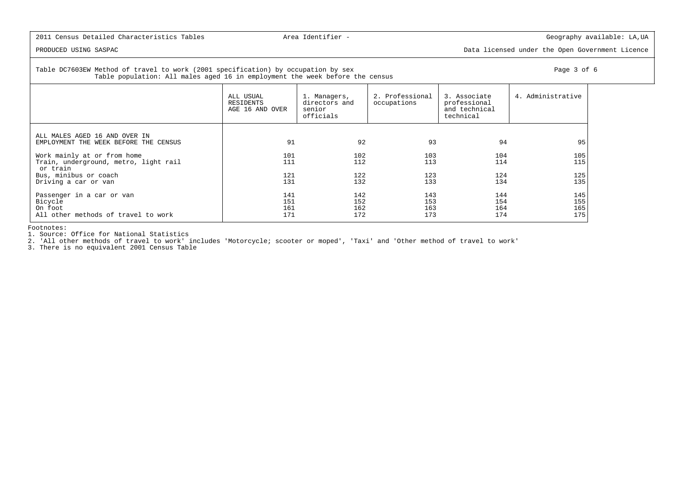PRODUCED USING SASPAC Data licensed under the Open Government Licence

Table DC7603EW Method of travel to work (2001 specification) by occupation by sex Page 3 of 6 Table population: All males aged 16 in employment the week before the census

ALL USUAL  $\begin{array}{|l|l|}\n\hline\n\text{ALL USUMS}\n\end{array}\n\quad \text{1. Management} \quad \begin{array}{|l|}\n\hline\n\text{2. Professional} & \text{3. Associational}\n\end{array}\n\quad \text{1. Administration} \quad \begin{array}{|l|}\n\hline\n\text{3. Associational}\n\end{array}\n\quad \text{4. Administration}$ directors and<br>senior and technical AGE 16 AND OVER officials  $\vert$  technical ALL MALES AGED 16 AND OVER INlemployment the week before the census states and the state of the states of the states of the states of the states of the states of the states of the states of the states of the states of the states of the states of the s Work mainly at or from home 101 102 103 104 105115 Train, underground, metro, light rail 111 111 112 113 114 114 or train Bus, minibus or coach 121 122 123 124 125135 Driving a car or van 131 132 133 134 135Passenger in a car or van the control of the control of the control of the control of the control of the control of the control of the control of the control of the control of the control of the control of the control of t 155 Bicycle 151 152 153 154 155165 | On foot 161 162 163 164 165 175 All other methods of travel to work 171 172 173 174 174 174 175

Footnotes:

1. Source: Office for National Statistics

2. 'All other methods of travel to work' includes 'Motorcycle; scooter or moped', 'Taxi' and 'Other method of travel to work'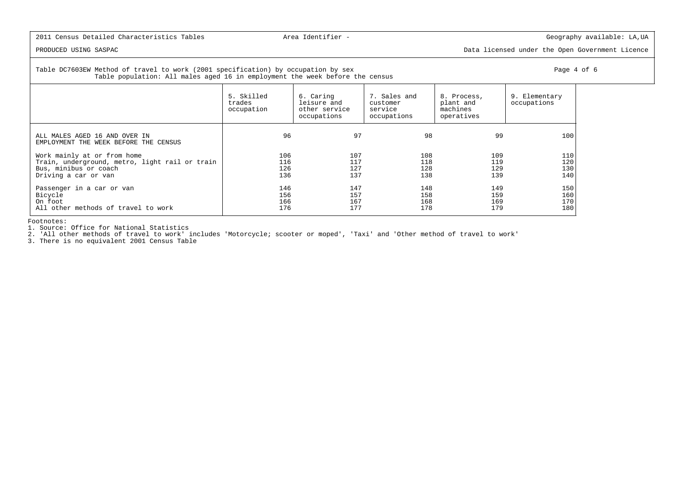PRODUCED USING SASPAC Data licensed under the Open Government Licence

### Table DC7603EW Method of travel to work (2001 specification) by occupation by sex Page 4 of 6 or Page 4 of 6 Table population: All males aged 16 in employment the week before the census

|                                                                        | 5. Skilled<br>trades<br>occupation | 6. Caring<br>leisure and<br>other service<br>occupations | 7. Sales and<br>customer<br>service<br>occupations | 8. Process,<br>plant and<br>machines<br>operatives | 9. Elementary<br>occupations |
|------------------------------------------------------------------------|------------------------------------|----------------------------------------------------------|----------------------------------------------------|----------------------------------------------------|------------------------------|
| ALL MALES AGED 16 AND OVER IN<br>EMPLOYMENT THE WEEK BEFORE THE CENSUS | 96                                 | 97                                                       | 98                                                 | 99                                                 | 100                          |
| Work mainly at or from home                                            | 106                                | 107                                                      | 108                                                | 109                                                | 110                          |
| Train, underground, metro, light rail or train                         | 116                                | 117                                                      | 118                                                | 119                                                | 120                          |
| Bus, minibus or coach                                                  | 126                                | 127                                                      | 128                                                | 129                                                | 130                          |
| Driving a car or van                                                   | 136                                | 137                                                      | 138                                                | 139                                                | 140                          |
| Passenger in a car or van                                              | 146                                | 147                                                      | 148                                                | 149                                                | 150                          |
| Bicycle                                                                | 156                                | 157                                                      | 158                                                | 159                                                | 160                          |
| On foot                                                                | 166                                | 167                                                      | 168                                                | 169                                                | 170                          |
| All other methods of travel to work                                    | 176                                | 177                                                      | 178                                                | 179                                                | 180                          |

Footnotes:

1. Source: Office for National Statistics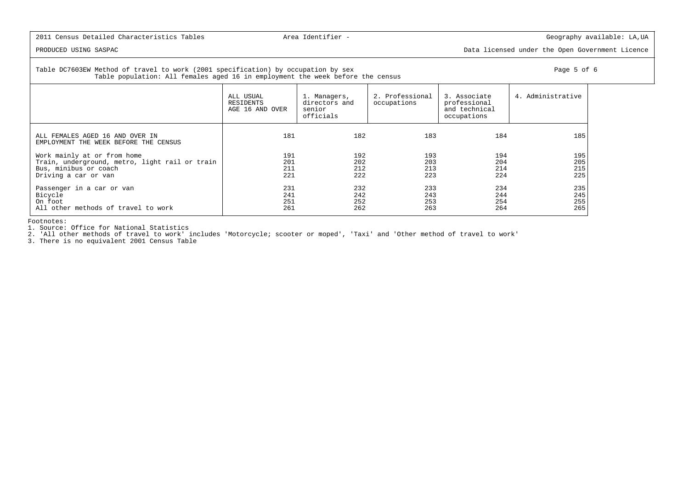PRODUCED USING SASPAC Data licensed under the Open Government Licence

Table DC7603EW Method of travel to work (2001 specification) by occupation by sex Page 5 of 6 or Page 5 of 6 or Page 5 of 6 Table population: All females aged 16 in employment the week before the census

|                                                                          | ALL USUAL<br>RESIDENTS<br>AGE 16 AND OVER | 1. Managers,<br>directors and<br>senior<br>officials | 2. Professional<br>occupations | 3. Associate<br>professional<br>and technical<br>occupations | 4. Administrative |
|--------------------------------------------------------------------------|-------------------------------------------|------------------------------------------------------|--------------------------------|--------------------------------------------------------------|-------------------|
| ALL FEMALES AGED 16 AND OVER IN<br>EMPLOYMENT THE WEEK BEFORE THE CENSUS | 181                                       | 182                                                  | 183                            | 184                                                          | 185               |
| Work mainly at or from home                                              | 191                                       | 192                                                  | 193                            | 194                                                          | 195               |
| Train, underground, metro, light rail or train                           | 201                                       | 202                                                  | 203                            | 204                                                          | 205               |
| Bus, minibus or coach                                                    | 211                                       | 212                                                  | 213                            | 214                                                          | 215               |
| Driving a car or van                                                     | 221                                       | 222                                                  | 223                            | 224                                                          | 225               |
| Passenger in a car or van                                                | 231                                       | 232                                                  | 233                            | 234                                                          | 235               |
| Bicycle                                                                  | 241                                       | 242                                                  | 243                            | 244                                                          | 245               |
| On foot                                                                  | 251                                       | 252                                                  | 253                            | 254                                                          | 255               |
| All other methods of travel to work                                      | 261                                       | 262                                                  | 263                            | 264                                                          | 265               |

Footnotes:

1. Source: Office for National Statistics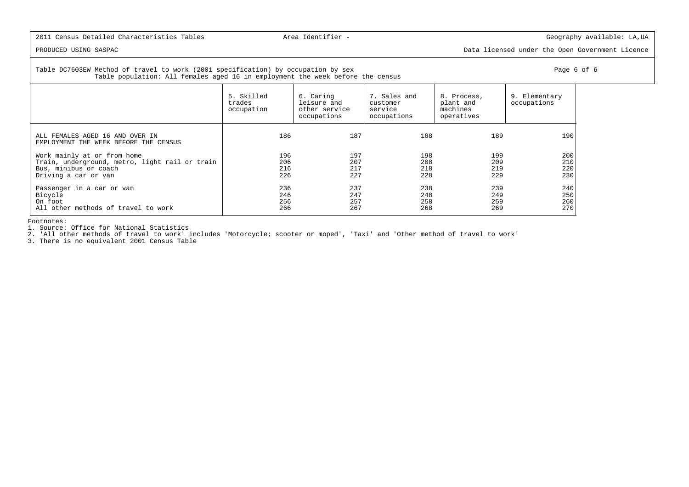PRODUCED USING SASPAC Data licensed under the Open Government Licence

 Table DC7603EW Method of travel to work (2001 specification) by occupation by sex Page 6 of 6Table population: All females aged 16 in employment the week before the census

|                                                                          | 5. Skilled<br>trades<br>occupation | 6. Caring<br>leisure and<br>other service<br>occupations | 7. Sales and<br>customer<br>service<br>occupations | 8. Process,<br>plant and<br>machines<br>operatives | 9. Elementary<br>occupations |
|--------------------------------------------------------------------------|------------------------------------|----------------------------------------------------------|----------------------------------------------------|----------------------------------------------------|------------------------------|
| ALL FEMALES AGED 16 AND OVER IN<br>EMPLOYMENT THE WEEK BEFORE THE CENSUS | 186                                | 187                                                      | 188                                                | 189                                                | 190                          |
| Work mainly at or from home                                              | 196                                | 197                                                      | 198                                                | 199                                                | 200                          |
| Train, underground, metro, light rail or train                           | 206                                | 207                                                      | 208                                                | 209                                                | 210                          |
| Bus, minibus or coach                                                    | 216                                | 217                                                      | 218                                                | 219                                                | 220                          |
| Driving a car or van                                                     | 226                                | 227                                                      | 228                                                | 229                                                | 230                          |
| Passenger in a car or van                                                | 236                                | 237                                                      | 238                                                | 239                                                | 240                          |
| Bicycle                                                                  | 246                                | 247                                                      | 248                                                | 249                                                | 250                          |
| On foot                                                                  | 256                                | 257                                                      | 258                                                | 259                                                | 260                          |
| All other methods of travel to work                                      | 266                                | 267                                                      | 268                                                | 269                                                | 270                          |

Footnotes:

1. Source: Office for National Statistics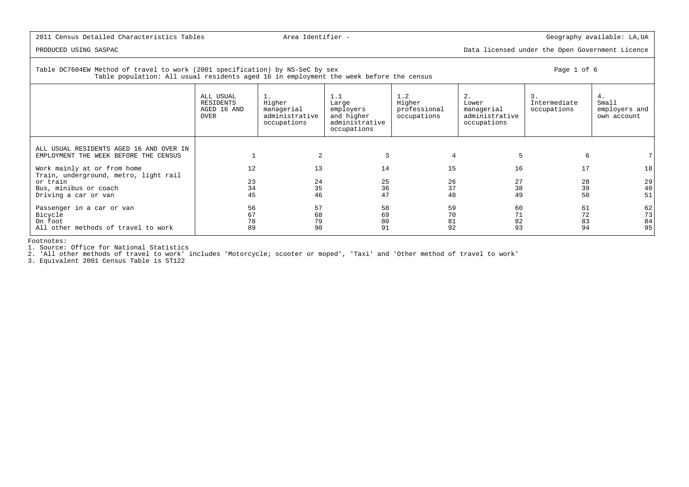## 2011 Census Detailed Characteristics Tables **Area Identifier** - The Communication of the Geography available: LA,UA

40

 $51$ 

73

 $84$ 

95

PRODUCED USING SASPAC Data licensed under the Open Government Licence

# Table DC7604EW Method of travel to work (2001 specification) by NS-SeC by sex Page 1 of 6 Table population: All usual residents aged 16 in employment the week before the census ALL USUAL 1. 1.1 1.2 2. 3. 4. $Small$  RESIDENTS Higher Large Higher Lower Intermediate Smallemployers and AGED 16 AND managerial employers professional managerial occupations employers and OVER administrative and higher occupations administrative own account occupations administrative occupations occupations ALL USUAL RESIDENTS AGED 16 AND OVER INEMPLOYMENT THE WEEK BEFORE THE CENSUS | 1 2 3 4 5 5 6 7 7 Work mainly at or from home 12 13 13 14 15 16 17 18 Train, underground, metro, light rail or train 23 24 25 26 27 28 29 Bus, minibus or coach 34 35 36 37 38 39 40Driving a car or van  $\begin{array}{ccccccc}\n & 45 & 46 & 47 & 48 & 49\n\end{array}$  Passenger in a car or van 56 57 58 59 60 61 62 Bicycle 67 68 69 70 71 72 73| On foot 78 79 80 81 82 83 84 All other methods of travel to work 89 90 91 92 93 93 94

Footnotes:

1. Source: Office for National Statistics

2. 'All other methods of travel to work' includes 'Motorcycle; scooter or moped', 'Taxi' and 'Other method of travel to work'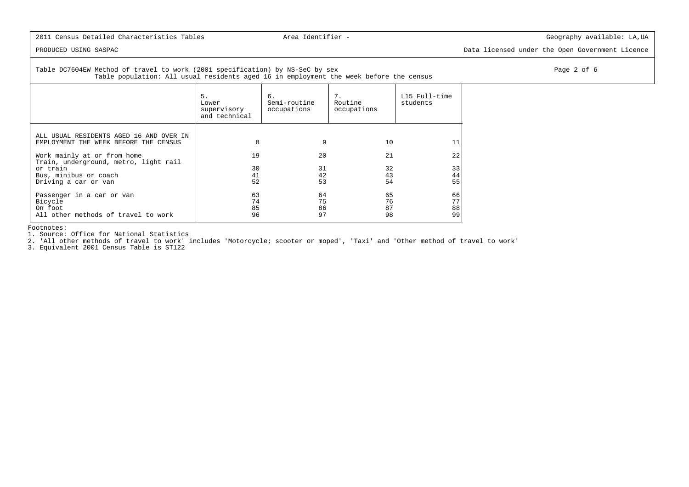PRODUCED USING SASPAC Data licensed under the Open Government Licence

Table DC7604EW Method of travel to work (2001 specification) by NS-SeC by sex Page 2 of 6 Table population: All usual residents aged 16 in employment the week before the census

| 5.<br>Lower<br>supervisory<br>and technical | 6.<br>Semi-routine<br>occupations | 7.<br>Routine<br>occupations | L15 Full-time<br>students |
|---------------------------------------------|-----------------------------------|------------------------------|---------------------------|
| 8                                           | 9                                 | 10                           | 11                        |
| 19                                          | 20                                | 21                           | 22                        |
| 30                                          | 31                                | 32                           | 33                        |
| 41                                          | 42                                | 43                           | 44                        |
| 52                                          |                                   | 54                           | 55                        |
| 63<br>74<br>85<br>96                        | 64<br>75<br>86<br>97              | 65<br>76<br>87<br>98         | 66<br>77<br>88<br>99      |
|                                             |                                   |                              | 53                        |

Footnotes:

1. Source: Office for National Statistics

2. 'All other methods of travel to work' includes 'Motorcycle; scooter or moped', 'Taxi' and 'Other method of travel to work'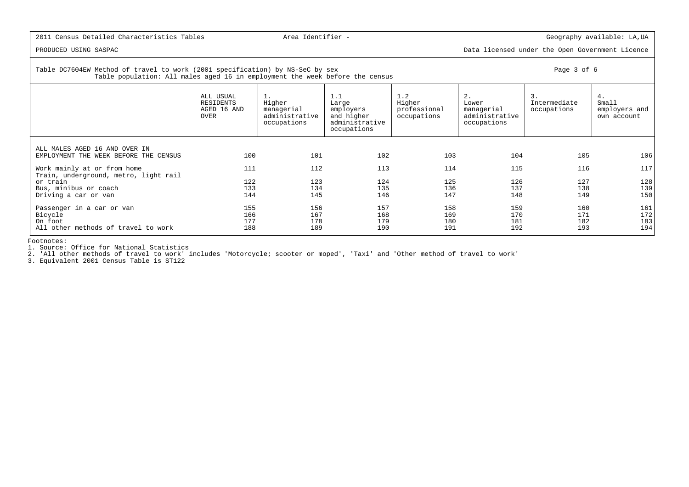PRODUCED USING SASPAC Data licensed under the Open Government Licence

Table DC7604EW Method of travel to work (2001 specification) by NS-SeC by sex Page 3 of 6

Table population: All males aged 16 in employment the week before the census

|                                                                                        | ALL USUAL<br>RESIDENTS<br>AGED 16 AND<br>OVER | $1$ .<br>Higher<br>managerial<br>administrative<br>occupations | 1.1<br>Large<br>employers<br>and higher<br>administrative<br>occupations | 1.2<br>Higher<br>professional<br>occupations | 2.<br>Lower<br>managerial<br>administrative<br>occupations | 3.<br>Intermediate<br>occupations | 4.<br>Small<br>employers and<br>own account |
|----------------------------------------------------------------------------------------|-----------------------------------------------|----------------------------------------------------------------|--------------------------------------------------------------------------|----------------------------------------------|------------------------------------------------------------|-----------------------------------|---------------------------------------------|
| ALL MALES AGED 16 AND OVER IN<br>EMPLOYMENT THE WEEK BEFORE THE CENSUS                 | 100                                           | 101                                                            | 102                                                                      | 103                                          | 104                                                        | 105                               | 106                                         |
| Work mainly at or from home<br>Train, underground, metro, light rail                   | 111                                           | 112                                                            | 113                                                                      | 114                                          | 115                                                        | 116                               | 117                                         |
| or train                                                                               | 122                                           | 123                                                            | 124                                                                      | 125                                          | 126                                                        | 127                               | 128                                         |
| Bus, minibus or coach                                                                  | 133                                           | 134                                                            | 135                                                                      | 136                                          | 137                                                        | 138                               | 139                                         |
| Driving a car or van                                                                   | 144                                           | 145                                                            | 146                                                                      | 147                                          | 148                                                        | 149                               | 150                                         |
| Passenger in a car or van<br>Bicycle<br>On foot<br>All other methods of travel to work | 155<br>166<br>177<br>188                      | 156<br>167<br>178<br>189                                       | 157<br>168<br>179<br>190                                                 | 158<br>169<br>180<br>191                     | 159<br>170<br>181<br>192                                   | 160<br>171<br>182<br>193          | 161<br>172<br>183<br>194                    |
|                                                                                        |                                               |                                                                |                                                                          |                                              |                                                            |                                   |                                             |

Footnotes:

1. Source: Office for National Statistics

2. 'All other methods of travel to work' includes 'Motorcycle; scooter or moped', 'Taxi' and 'Other method of travel to work'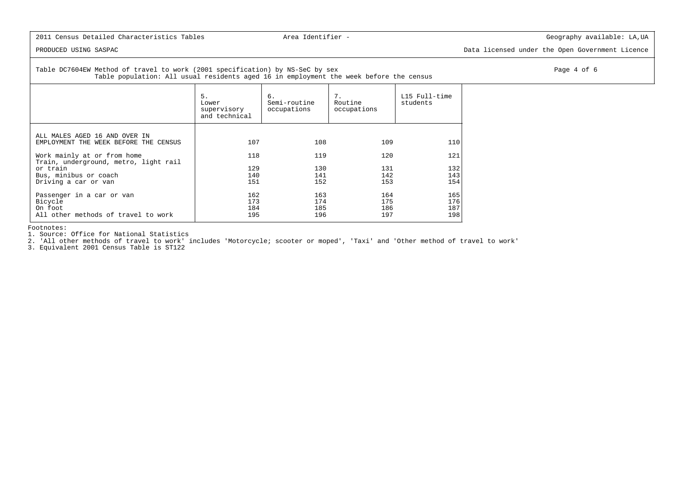PRODUCED USING SASPAC Data licensed under the Open Government Licence

Table DC7604EW Method of travel to work (2001 specification) by NS-SeC by sex Page 4 of 6 and the set of 6 and the set of 6 and the set of 6 and the set of 6 and the set of 6 and the set of 6 and the set of 6 and the set o Table population: All usual residents aged 16 in employment the week before the census

|                                                                      | 5.<br>Lower<br>supervisory<br>and technical | 6.<br>Semi-routine<br>occupations | 7.<br>Routine<br>occupations | L15 Full-time<br>students |
|----------------------------------------------------------------------|---------------------------------------------|-----------------------------------|------------------------------|---------------------------|
| ALL MALES AGED 16 AND OVER IN                                        |                                             |                                   |                              |                           |
| EMPLOYMENT THE WEEK BEFORE THE CENSUS                                | 107                                         | 108                               | 109                          | 110                       |
| Work mainly at or from home<br>Train, underground, metro, light rail | 118                                         | 119                               | 120                          | 121                       |
| or train                                                             | 129                                         | 130                               | 131                          | 132                       |
| Bus, minibus or coach                                                | 140                                         | 141                               | 142                          | 143                       |
| Driving a car or van                                                 | 151                                         | 152                               | 153                          | 154                       |
| Passenger in a car or van                                            | 162                                         | 163                               | 164                          | 165                       |
| Bicycle                                                              | 173                                         | 174                               | 175                          | 176                       |
| On foot                                                              | 184                                         | 185                               | 186                          | 187                       |
| All other methods of travel to work                                  | 195                                         | 196                               | 197                          | 198                       |

Footnotes:

1. Source: Office for National Statistics

2. 'All other methods of travel to work' includes 'Motorcycle; scooter or moped', 'Taxi' and 'Other method of travel to work'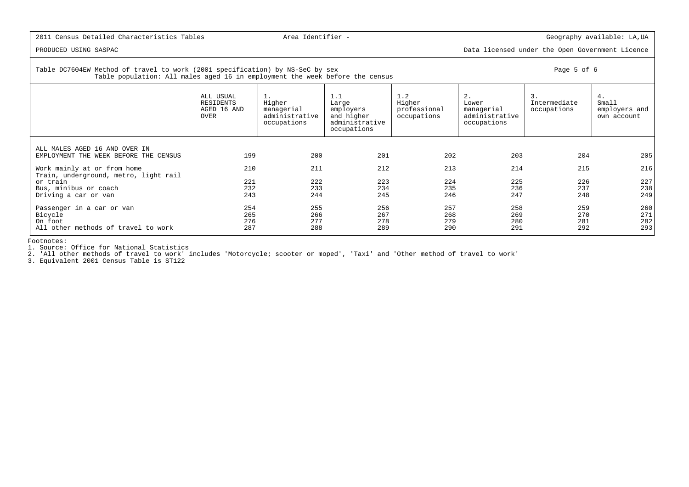PRODUCED USING SASPAC Data licensed under the Open Government Licence

### Table DC7604EW Method of travel to work (2001 specification) by NS-SeC by sex Page 5 of 6Table population: All males aged 16 in employment the week before the census

| Small<br>employers and<br>own account |
|---------------------------------------|
|                                       |
|                                       |
|                                       |
| 205                                   |
| 216                                   |
|                                       |
| 227                                   |
| 238                                   |
| 249                                   |
| 260                                   |
| 271                                   |
| 282                                   |
| 293                                   |
|                                       |

Footnotes:

1. Source: Office for National Statistics

2. 'All other methods of travel to work' includes 'Motorcycle; scooter or moped', 'Taxi' and 'Other method of travel to work'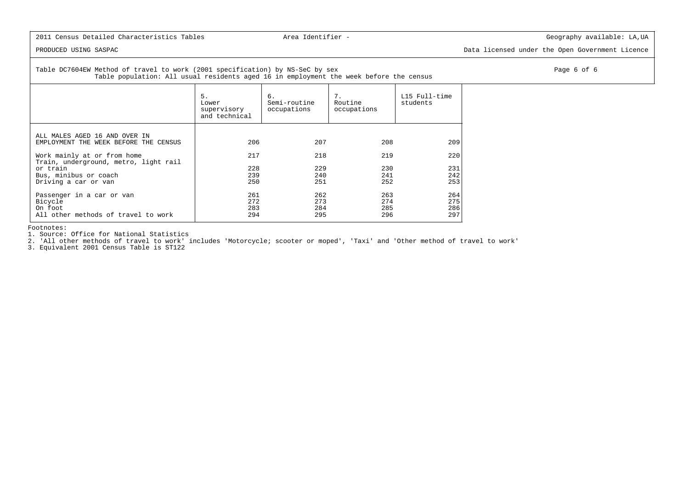PRODUCED USING SASPAC Data licensed under the Open Government Licence

 Table DC7604EW Method of travel to work (2001 specification) by NS-SeC by sex Page 6 of 6Table population: All usual residents aged 16 in employment the week before the census

|                                                                                        | 5.<br>Lower<br>supervisory<br>and technical | 6.<br>Semi-routine<br>occupations | 7.<br>Routine<br>occupations | L15 Full-time<br>students |
|----------------------------------------------------------------------------------------|---------------------------------------------|-----------------------------------|------------------------------|---------------------------|
| ALL MALES AGED 16 AND OVER IN<br>EMPLOYMENT THE WEEK BEFORE THE CENSUS                 | 206                                         | 207                               | 208                          | 209                       |
| Work mainly at or from home<br>Train, underground, metro, light rail                   | 217                                         | 218                               | 219                          | 220                       |
| or train                                                                               | 228                                         | 229                               | 230                          | 231                       |
| Bus, minibus or coach<br>Driving a car or van                                          | 239<br>250                                  | 240<br>251                        | 241<br>252                   | 242<br>253                |
| Passenger in a car or van<br>Bicycle<br>On foot<br>All other methods of travel to work | 261<br>272<br>283<br>294                    | 262<br>273<br>284<br>295          | 263<br>274<br>285<br>296     | 264<br>275<br>286<br>297  |

Footnotes:

1. Source: Office for National Statistics

2. 'All other methods of travel to work' includes 'Motorcycle; scooter or moped', 'Taxi' and 'Other method of travel to work'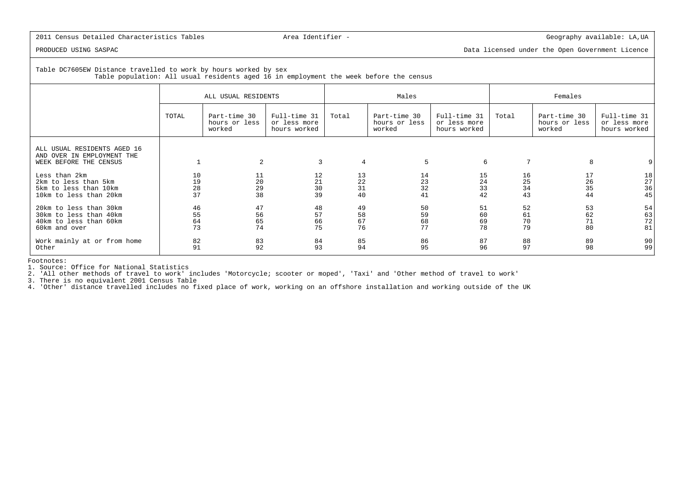PRODUCED USING SASPAC Data licensed under the Open Government Licence

 Table DC7605EW Distance travelled to work by hours worked by sexTable population: All usual residents aged 16 in employment the week before the census

|                                                                                             | ALL USUAL RESIDENTS         |                                         |                                              |                      | Males                                   |                                              | Females              |                                         |                                              |  |
|---------------------------------------------------------------------------------------------|-----------------------------|-----------------------------------------|----------------------------------------------|----------------------|-----------------------------------------|----------------------------------------------|----------------------|-----------------------------------------|----------------------------------------------|--|
|                                                                                             | TOTAL                       | Part-time 30<br>hours or less<br>worked | Full-time 31<br>or less more<br>hours worked | Total                | Part-time 30<br>hours or less<br>worked | Full-time 31<br>or less more<br>hours worked | Total                | Part-time 30<br>hours or less<br>worked | Full-time 31<br>or less more<br>hours worked |  |
| ALL USUAL RESIDENTS AGED 16<br>AND OVER IN EMPLOYMENT THE<br>WEEK BEFORE THE CENSUS         |                             | 2                                       | 3                                            | 4                    | 5                                       | 6                                            | 7                    | 8                                       |                                              |  |
| Less than 2km<br>2km to less than 5km<br>5km to less than 10km<br>10km to less than 20km    | 10<br>19<br>$\frac{28}{37}$ | 11<br>20<br>29<br>38                    | 12<br>21<br>30<br>39                         | 13<br>22<br>31<br>40 | 14<br>23<br>32<br>41                    | 15<br>24<br>33<br>42                         | 16<br>25<br>34<br>43 | 17<br>26<br>35<br>44                    | 18<br>$27\,$<br>36<br>45                     |  |
| 20km to less than 30km<br>30km to less than 40km<br>40km to less than 60km<br>60km and over | 46<br>55<br>64<br>73        | 47<br>56<br>65<br>74                    | 48<br>57<br>66<br>75                         | 49<br>58<br>67<br>76 | 50<br>59<br>68<br>77                    | 51<br>60<br>69<br>78                         | 52<br>61<br>70<br>79 | 53<br>62<br>71<br>80                    | 54<br>63<br>72<br>81                         |  |
| Work mainly at or from home<br>Other                                                        | 82<br>91                    | 83<br>92                                | 84<br>93                                     | 85<br>94             | 86<br>95                                | 87<br>96                                     | 88<br>97             | 89<br>98                                | 90<br>99                                     |  |

Footnotes:

1. Source: Office for National Statistics

2. 'All other methods of travel to work' includes 'Motorcycle; scooter or moped', 'Taxi' and 'Other method of travel to work'

3. There is no equivalent 2001 Census Table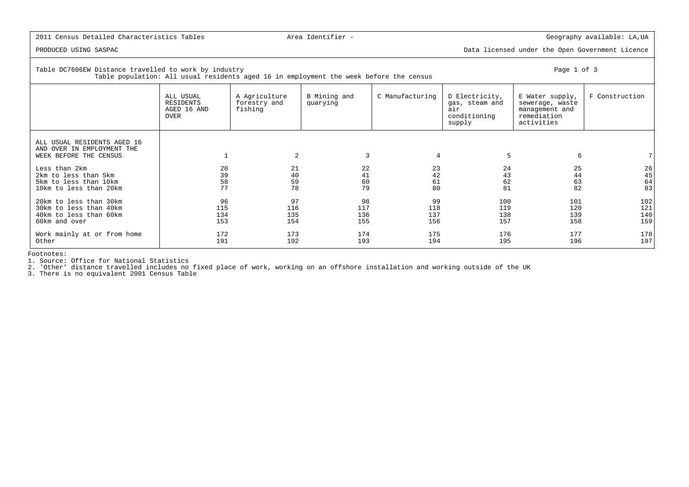PRODUCED USING SASPAC Data licensed under the Open Government Licence

| Table DC7606EW Distance travelled to work by industry<br>Table population: All usual residents aged 16 in employment the week before the census | Page 1 of 3                                   |                                          |                          |                 |                                                                   |                                                                                   |                |
|-------------------------------------------------------------------------------------------------------------------------------------------------|-----------------------------------------------|------------------------------------------|--------------------------|-----------------|-------------------------------------------------------------------|-----------------------------------------------------------------------------------|----------------|
|                                                                                                                                                 | ALL USUAL<br>RESIDENTS<br>AGED 16 AND<br>OVER | A Agriculture<br>forestry and<br>fishing | B Mining and<br>quarying | C Manufacturing | D Electricity,<br>gas, steam and<br>air<br>conditioning<br>supply | E Water supply,<br>sewerage, waste<br>management and<br>remediation<br>activities | F Construction |
| ALL USUAL RESIDENTS AGED 16<br>AND OVER IN EMPLOYMENT THE<br>WEEK BEFORE THE CENSUS                                                             |                                               | 2                                        | 3                        | $\overline{4}$  | 5                                                                 | 6                                                                                 |                |
| Less than 2km                                                                                                                                   | 20                                            | 21                                       | 22                       | 23              | 24                                                                | 25                                                                                | 26             |
| 2km to less than 5km                                                                                                                            | 39                                            | 40                                       | 41                       | 42              | 43                                                                | 44                                                                                | 45             |
| 5km to less than 10km                                                                                                                           | 58                                            | 59                                       | 60                       | 61              | 62                                                                | 63                                                                                | 64             |
| 10km to less than 20km                                                                                                                          | 77                                            | 78                                       | 79                       | 80              | 81                                                                | 82                                                                                | 83             |
| 20km to less than 30km                                                                                                                          | 96                                            | 97                                       | 98                       | 99              | 100                                                               | 101                                                                               | 102            |
| 30km to less than 40km                                                                                                                          | 115                                           | 116                                      | 117                      | 118             | 119                                                               | 120                                                                               | 121            |
| 40km to less than 60km                                                                                                                          | 134                                           | 135                                      | 136                      | 137             | 138                                                               | 139                                                                               | 140            |
| 60km and over                                                                                                                                   | 153                                           | 154                                      | 155                      | 156             | 157                                                               | 158                                                                               | 159            |
| Work mainly at or from home                                                                                                                     | 172                                           | 173                                      | 174                      | 175             | 176                                                               | 177                                                                               | 178            |
| Other                                                                                                                                           | 191                                           | 192                                      | 193                      | 194             | 195                                                               | 196                                                                               | 197            |

Footnotes:

1. Source: Office for National Statistics 2. 'Other' distance travelled includes no fixed place of work, working on an offshore installation and working outside of the UK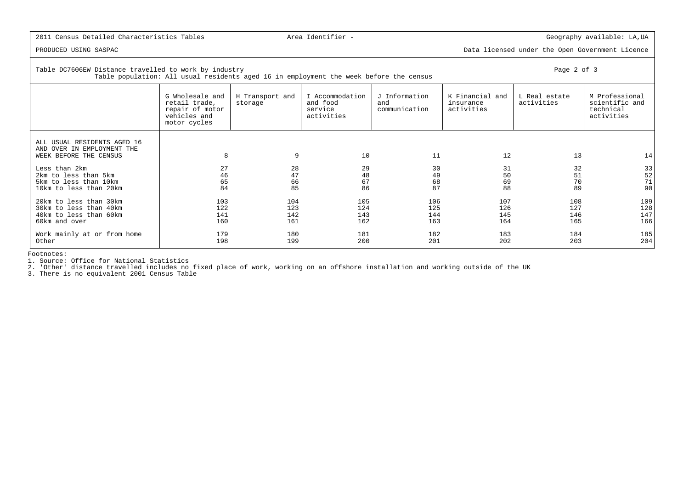PRODUCED USING SASPAC Data licensed under the Open Government Licence

Table DC7606EW Distance travelled to work by industry Page 2 of 3

| Page | $\lambda$ | ΩT |  |  |
|------|-----------|----|--|--|
|------|-----------|----|--|--|

| Table population: All usual residents aged 16 in employment the week before the census      |                                                                                     |                            |                                                      |                                       |                                            |                             |                                                             |  |  |  |  |
|---------------------------------------------------------------------------------------------|-------------------------------------------------------------------------------------|----------------------------|------------------------------------------------------|---------------------------------------|--------------------------------------------|-----------------------------|-------------------------------------------------------------|--|--|--|--|
|                                                                                             | G Wholesale and<br>retail trade,<br>repair of motor<br>vehicles and<br>motor cycles | H Transport and<br>storage | I Accommodation<br>and food<br>service<br>activities | J Information<br>and<br>communication | K Financial and<br>insurance<br>activities | L Real estate<br>activities | M Professional<br>scientific and<br>technical<br>activities |  |  |  |  |
| ALL USUAL RESIDENTS AGED 16<br>AND OVER IN EMPLOYMENT THE<br>WEEK BEFORE THE CENSUS         | 8                                                                                   | 9                          | 10                                                   | 11                                    | 12                                         | 13                          | 14                                                          |  |  |  |  |
| Less than 2km<br>2km to less than 5km<br>5km to less than 10km<br>10km to less than 20km    | 27<br>46<br>65<br>84                                                                | 28<br>47<br>66<br>85       | 29<br>48<br>67<br>86                                 | 30<br>49<br>68<br>87                  | 31<br>50<br>69<br>88                       | 32<br>51<br>70<br>89        | 33<br>$\begin{array}{c} 52 \\ 71 \end{array}$<br>90         |  |  |  |  |
| 20km to less than 30km<br>30km to less than 40km<br>40km to less than 60km<br>60km and over | 103<br>122<br>141<br>160                                                            | 104<br>123<br>142<br>161   | 105<br>124<br>143<br>162                             | 106<br>125<br>144<br>163              | 107<br>126<br>145<br>164                   | 108<br>127<br>146<br>165    | 109<br>128<br>147<br>166                                    |  |  |  |  |
| Work mainly at or from home<br>Other                                                        | 179<br>198                                                                          | 180<br>199                 | 181<br>200                                           | 182<br>201                            | 183<br>202                                 | 184<br>203                  | 185<br>204                                                  |  |  |  |  |

Footnotes:

1. Source: Office for National Statistics

2. 'Other' distance travelled includes no fixed place of work, working on an offshore installation and working outside of the UK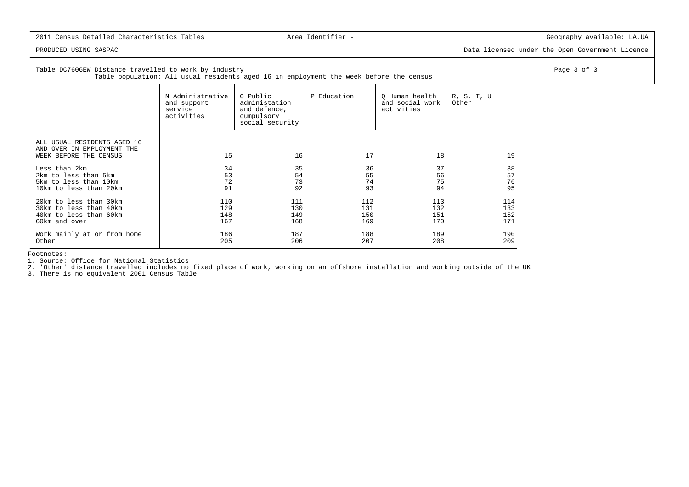PRODUCED USING SASPAC Data licensed under the Open Government Licence

Table DC7606EW Distance travelled to work by industry Page 3 of 3

Table population: All usual residents aged 16 in employment the week before the census

|                                                                                     | N Administrative<br>and support<br>service<br>activities | O Public<br>administation<br>and defence,<br>cumpulsory<br>social security | P Education | Q Human health<br>and social work<br>activities | R, S, T, U<br>Other |
|-------------------------------------------------------------------------------------|----------------------------------------------------------|----------------------------------------------------------------------------|-------------|-------------------------------------------------|---------------------|
| ALL USUAL RESIDENTS AGED 16<br>AND OVER IN EMPLOYMENT THE<br>WEEK BEFORE THE CENSUS | 15                                                       | 16                                                                         | 17          | 18                                              | 19                  |
| Less than 2km                                                                       | 34                                                       | 35                                                                         | 36          | 37                                              | 38                  |
| 2km to less than 5km                                                                | 53                                                       | 54                                                                         | 55          | 56                                              | 57                  |
| 5km to less than 10km                                                               | 72                                                       | 73                                                                         | 74          | 75                                              | 76                  |
| 10km to less than 20km                                                              | 91                                                       | 92                                                                         | 93          | 94                                              | 95                  |
| 20km to less than 30km                                                              | 110                                                      | 111                                                                        | 112         | 113                                             | 114                 |
| 30km to less than 40km                                                              | 129                                                      | 130                                                                        | 131         | 132                                             | 133                 |
| 40km to less than 60km                                                              | 148                                                      | 149                                                                        | 150         | 151                                             | 152                 |
| 60km and over                                                                       | 167                                                      | 168                                                                        | 169         | 170                                             | 171                 |
| Work mainly at or from home                                                         | 186                                                      | 187                                                                        | 188         | 189                                             | 190                 |
| Other                                                                               | 205                                                      | 206                                                                        | 207         | 208                                             | 209                 |

Footnotes:

1. Source: Office for National Statistics

2. 'Other' distance travelled includes no fixed place of work, working on an offshore installation and working outside of the UK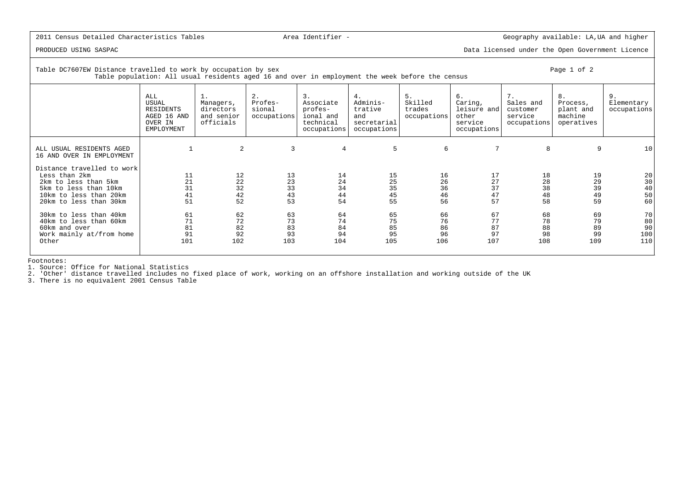PRODUCED USING SASPAC Data licensed under the Open Government Licence

Table DC7607EW Distance travelled to work by occupation by sex Page 1 of 2 Table population: All usual residents aged 16 and over in employment the week before the census

|                                                                                                                                                  | ALL<br>USUAL<br><b>RESIDENTS</b><br>AGED 16 AND<br>OVER IN<br>EMPLOYMENT | ⊥.<br>Managers,<br>directors<br>and senior<br>officials | 2.<br>Profes-<br>sional<br>occupations | 3.<br>Associate<br>profes-<br>ional and<br>technical<br>occupations | 4.<br>Adminis-<br>trative<br>and<br>secretarial<br>occupations | 5.<br>Skilled<br>trades<br>occupations | 6.<br>Caring,<br>leisure and<br>other<br>service<br>occupations | 7.<br>Sales and<br>customer<br>service<br>occupations | 8.<br>Process,<br>plant and<br>machine<br>operatives | Elementary<br>occupations    |
|--------------------------------------------------------------------------------------------------------------------------------------------------|--------------------------------------------------------------------------|---------------------------------------------------------|----------------------------------------|---------------------------------------------------------------------|----------------------------------------------------------------|----------------------------------------|-----------------------------------------------------------------|-------------------------------------------------------|------------------------------------------------------|------------------------------|
| ALL USUAL RESIDENTS AGED<br>16 AND OVER IN EMPLOYMENT                                                                                            |                                                                          | 2                                                       | 3                                      | 4                                                                   | 5                                                              | 6                                      | 7                                                               | 8                                                     | 9                                                    | 10                           |
| Distance travelled to work<br>Less than 2km<br>2km to less than 5km<br>5km to less than 10km<br>10km to less than 20km<br>20km to less than 30km | 11<br>21<br>31<br>41<br>51                                               | 12<br>22<br>32<br>42<br>52                              | 13<br>23<br>33<br>43<br>53             | 14<br>24<br>34<br>44<br>54                                          | 15<br>25<br>35<br>45<br>55                                     | 16<br>26<br>36<br>46<br>56             | 17<br>27<br>37<br>47<br>57                                      | 18<br>28<br>38<br>48<br>58                            | 19<br>29<br>39<br>49<br>59                           | 20<br>30<br>40<br>50<br>60   |
| 30km to less than 40km<br>40km to less than 60km<br>60km and over<br>Work mainly at/from home<br>Other                                           | 61<br>71<br>81<br>91<br>101                                              | 62<br>72<br>82<br>92<br>102                             | 63<br>73<br>83<br>93<br>103            | 64<br>74<br>84<br>94<br>104                                         | 65<br>75<br>85<br>95<br>105                                    | 66<br>76<br>86<br>96<br>106            | 67<br>77<br>87<br>97<br>107                                     | 68<br>78<br>88<br>98<br>108                           | 69<br>79<br>89<br>99<br>109                          | 70<br>80<br>90<br>100<br>110 |

Footnotes:

1. Source: Office for National Statistics

2. 'Other' distance travelled includes no fixed place of work, working on an offshore installation and working outside of the UK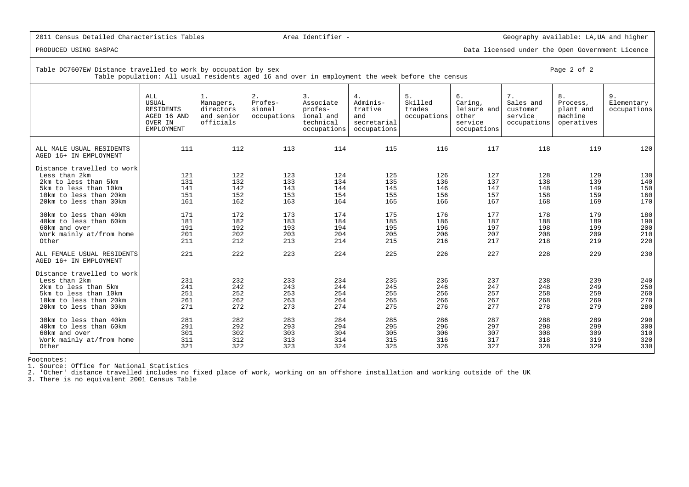PRODUCED USING SASPAC Data licensed under the Open Government Licence

Table DC7607EW Distance travelled to work by occupation by sex  $\blacksquare$ Table population: All usual residents aged 16 and over in employment the week before the census

|                                                                                                                                                  | ALL<br><b>USUAL</b><br>RESIDENTS<br>AGED 16 AND<br>OVER IN<br>EMPLOYMENT | 1.<br>Managers,<br>directors<br>and senior<br>officials | 2.<br>Profes-<br>sional<br>occupations | 3.<br>Associate<br>profes-<br>ional and<br>technical<br>occupations | 4.<br>Adminis-<br>trative<br>and<br>secretarial<br>occupations | 5.<br>Skilled<br>trades<br>occupations | 6.<br>Caring,<br>leisure and<br>other<br>service<br>occupations | 7.<br>Sales and<br>customer<br>service<br>occupations | 8.<br>Process,<br>plant and<br>machine<br>operatives | 9.<br>Elementary<br>occupations |
|--------------------------------------------------------------------------------------------------------------------------------------------------|--------------------------------------------------------------------------|---------------------------------------------------------|----------------------------------------|---------------------------------------------------------------------|----------------------------------------------------------------|----------------------------------------|-----------------------------------------------------------------|-------------------------------------------------------|------------------------------------------------------|---------------------------------|
| ALL MALE USUAL RESIDENTS<br>AGED 16+ IN EMPLOYMENT                                                                                               | 111                                                                      | 112                                                     | 113                                    | 114                                                                 | 115                                                            | 116                                    | 117                                                             | 118                                                   | 119                                                  | 120                             |
| Distance travelled to work<br>Less than 2km<br>2km to less than 5km<br>5km to less than 10km<br>10km to less than 20km<br>20km to less than 30km | 121<br>131<br>141<br>151<br>161                                          | 122<br>132<br>142<br>152<br>162                         | 123<br>133<br>143<br>153<br>163        | 124<br>134<br>144<br>154<br>164                                     | 125<br>135<br>145<br>155<br>165                                | 126<br>136<br>146<br>156<br>166        | 127<br>137<br>147<br>157<br>167                                 | 128<br>138<br>148<br>158<br>168                       | 129<br>139<br>149<br>159<br>169                      | 130<br>140<br>150<br>160<br>170 |
| 30km to less than 40km<br>40km to less than 60km<br>60km and over<br>Work mainly at/from home<br>Other                                           | 171<br>181<br>191<br>201<br>211                                          | 172<br>182<br>192<br>202<br>212                         | 173<br>183<br>193<br>203<br>213        | 174<br>184<br>194<br>204<br>214                                     | 175<br>185<br>195<br>205<br>215                                | 176<br>186<br>196<br>206<br>216        | 177<br>187<br>197<br>207<br>217                                 | 178<br>188<br>198<br>208<br>218                       | 179<br>189<br>199<br>209<br>219                      | 180<br>190<br>200<br>210<br>220 |
| ALL FEMALE USUAL RESIDENTS<br>AGED 16+ IN EMPLOYMENT                                                                                             | 221                                                                      | 222                                                     | 223                                    | 224                                                                 | 225                                                            | 226                                    | 227                                                             | 228                                                   | 229                                                  | 230                             |
| Distance travelled to work<br>Less than 2km<br>2km to less than 5km<br>5km to less than 10km<br>10km to less than 20km<br>20km to less than 30km | 231<br>241<br>251<br>261<br>271                                          | 232<br>242<br>252<br>262<br>272                         | 233<br>243<br>253<br>263<br>273        | 234<br>244<br>254<br>264<br>274                                     | 235<br>245<br>255<br>265<br>275                                | 236<br>246<br>256<br>266<br>276        | 237<br>247<br>257<br>267<br>277                                 | 238<br>248<br>258<br>268<br>278                       | 239<br>249<br>259<br>269<br>279                      | 240<br>250<br>260<br>270<br>280 |
| 30km to less than 40km<br>40km to less than 60km<br>60km and over<br>Work mainly at/from home<br>Other                                           | 281<br>291<br>301<br>311<br>321                                          | 282<br>292<br>302<br>312<br>322                         | 283<br>293<br>303<br>313<br>323        | 284<br>294<br>304<br>314<br>324                                     | 285<br>295<br>305<br>315<br>325                                | 286<br>296<br>306<br>316<br>326        | 287<br>297<br>307<br>317<br>327                                 | 288<br>298<br>308<br>318<br>328                       | 289<br>299<br>309<br>319<br>329                      | 290<br>300<br>310<br>320<br>330 |

Footnotes:

1. Source: Office for National Statistics

2. 'Other' distance travelled includes no fixed place of work, working on an offshore installation and working outside of the UK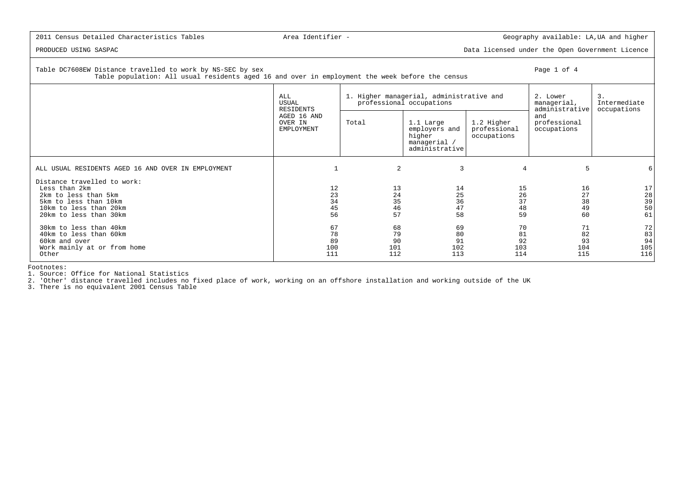PRODUCED USING SASPAC Data licensed under the Open Government Licence

# Table DC7608EW Distance travelled to work by NS-SEC by sex Page 1 of 4

Table population: All usual residents aged 16 and over in employment the week before the census

|                                                    | ALL<br>USUAL<br>RESIDENTS            |       | 1. Higher managerial, administrative and<br>professional occupations   |                                           | 2. Lower<br>managerial,<br>administrative | 3.<br>Intermediate<br>occupations       |
|----------------------------------------------------|--------------------------------------|-------|------------------------------------------------------------------------|-------------------------------------------|-------------------------------------------|-----------------------------------------|
|                                                    | AGED 16 AND<br>OVER IN<br>EMPLOYMENT | Total | 1.1 Large<br>employers and<br>higher<br>managerial /<br>administrative | 1.2 Higher<br>professional<br>occupations | and<br>professional<br>occupations        |                                         |
| ALL USUAL RESIDENTS AGED 16 AND OVER IN EMPLOYMENT |                                      | 2     | 3                                                                      | $\overline{4}$                            | 5                                         |                                         |
| Distance travelled to work:<br>Less than 2km       | 12                                   | 13    | 14                                                                     | 15                                        | 16                                        | 17                                      |
| 2km to less than 5km                               | 23                                   | 24    | 25                                                                     | 26                                        | 27                                        |                                         |
| 5km to less than 10km                              | 34                                   | 35    | 36                                                                     | 37                                        | 38                                        | $\begin{array}{c} 28 \\ 39 \end{array}$ |
| 10km to less than 20km                             | 45                                   | 46    | 47                                                                     | 48                                        | 49                                        | 50                                      |
| 20km to less than 30km                             | 56                                   | 57    | 58                                                                     | 59                                        | 60                                        | 61                                      |
| 30km to less than 40km                             | 67                                   | 68    | 69                                                                     | 70                                        | 71                                        | 72                                      |
| 40km to less than 60km                             | 78                                   | 79    | 80                                                                     | 81                                        | 82                                        | 83                                      |
| 60km and over                                      | 89                                   | 90    | 91                                                                     | 92                                        | 93                                        | 94                                      |
| Work mainly at or from home                        | 100                                  | 101   | 102                                                                    | 103                                       | 104                                       | 105                                     |
| Other                                              | 111                                  | 112   | 113                                                                    | 114                                       | 115                                       | 116                                     |

Footnotes:

1. Source: Office for National Statistics

2. 'Other' distance travelled includes no fixed place of work, working on an offshore installation and working outside of the UK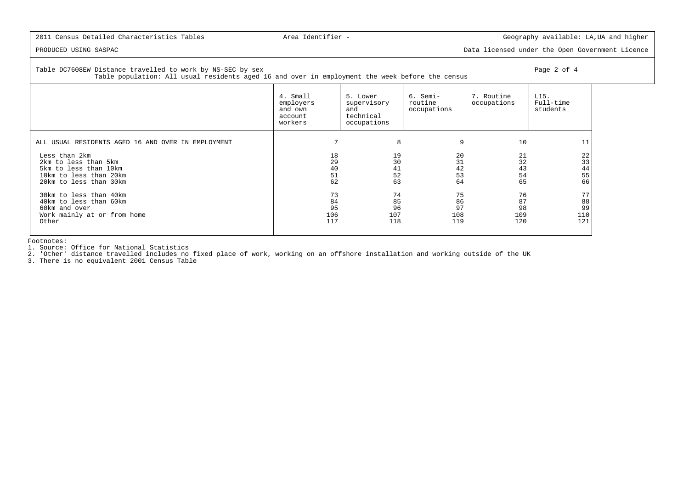PRODUCED USING SASPAC Data licensed under the Open Government Licence

Table DC7608EW Distance travelled to work by NS-SEC by sex Page 2 of 4

 Table population: All usual residents aged 16 and over in employment the week before the census 4. Small 5. Lower 6. Semi- 7. Routine L15.Full-time employers supervisory routine occupations<br>and own and  $\begin{array}{c|c}\n\hline\n\end{array}$ students  $\begin{array}{c|c}\n\text{and} & \text{and} \\
\text{account} & \text{technical}\n\end{array}$  occupations technical workers and occupations ALL USUAL RESIDENTS AGED 16 AND OVER IN EMPLOYMENT  $\qquad \qquad \qquad 7 \qquad \qquad 8 \qquad \qquad 9 \qquad \qquad 10 \qquad \qquad 11$  Less than 2km 18 19 20 21 22 $\frac{1}{3}$ 2km to less than 5km 32 32 30 31 32  $\frac{5}{44}$ 5km to less than 10km 43 43 43 44 46 46 46 46 46 46 46 46 46 47 42 43 43  $55$ 10km to less than 20km 54 52 53 54 66 20km to less than 30km 62 63 64 65 66 30km to less than 40km 73 74 75 76 77 $88$  40km to less than 60km 84 85 86 87 8899 60km and over 95 96 97 98 99110 Work mainly at or from home 106 107 108 109 110 $121$ Other 117 118 119 120 121

Footnotes:

1. Source: Office for National Statistics

2. 'Other' distance travelled includes no fixed place of work, working on an offshore installation and working outside of the UK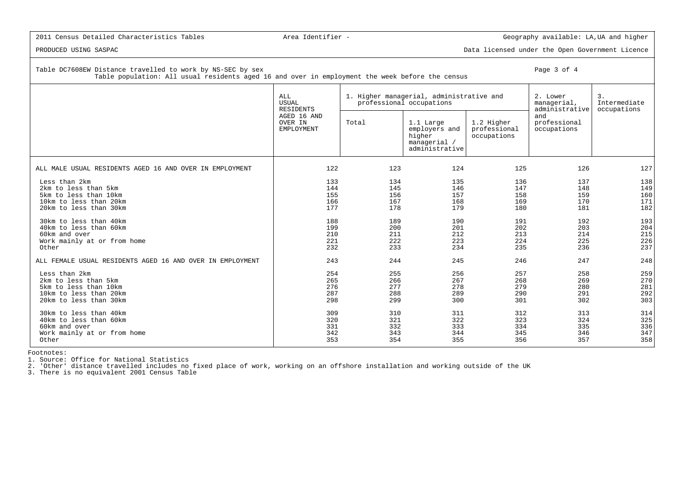PRODUCED USING SASPAC Data licensed under the Open Government Licence

Table DC7608EW Distance travelled to work by NS-SEC by sex Page 3 of 4

Table population: All usual residents aged 16 and over in employment the week before the census

|                                                                                                                    | ALL<br><b>USUAL</b><br><b>RESIDENTS</b> |                                 | 1. Higher managerial, administrative and<br>professional occupations   |                                           | 2. Lower<br>managerial,<br>administrative | 3.<br>Intermediate<br>occupations |
|--------------------------------------------------------------------------------------------------------------------|-----------------------------------------|---------------------------------|------------------------------------------------------------------------|-------------------------------------------|-------------------------------------------|-----------------------------------|
|                                                                                                                    | AGED 16 AND<br>OVER IN<br>EMPLOYMENT    | Total                           | 1.1 Large<br>employers and<br>higher<br>managerial /<br>administrative | 1.2 Higher<br>professional<br>occupations | and<br>professional<br>occupations        |                                   |
| ALL MALE USUAL RESIDENTS AGED 16 AND OVER IN EMPLOYMENT                                                            | 122                                     | 123                             | 124                                                                    | 125                                       | 126                                       | 127                               |
| Less than 2km<br>2km to less than 5km<br>5km to less than 10km<br>10km to less than 20km<br>20km to less than 30km | 133<br>144<br>155<br>166<br>177         | 134<br>145<br>156<br>167<br>178 | 135<br>146<br>157<br>168<br>179                                        | 136<br>147<br>158<br>169<br>180           | 137<br>148<br>159<br>170<br>181           | 138<br>149<br>160<br>171<br>182   |
| 30km to less than 40km<br>40km to less than 60km<br>60km and over<br>Work mainly at or from home<br>Other          | 188<br>199<br>210<br>221<br>232         | 189<br>200<br>211<br>222<br>233 | 190<br>201<br>212<br>223<br>234                                        | 191<br>202<br>213<br>224<br>235           | 192<br>203<br>214<br>225<br>236           | 193<br>204<br>215<br>226<br>237   |
| ALL FEMALE USUAL RESIDENTS AGED 16 AND OVER IN EMPLOYMENT                                                          | 243                                     | 244                             | 245                                                                    | 246                                       | 247                                       | 248                               |
| Less than 2km<br>2km to less than 5km<br>5km to less than 10km<br>10km to less than 20km<br>20km to less than 30km | 254<br>265<br>276<br>287<br>298         | 255<br>266<br>277<br>288<br>299 | 256<br>267<br>278<br>289<br>300                                        | 257<br>268<br>279<br>290<br>301           | 258<br>269<br>280<br>291<br>302           | 259<br>270<br>281<br>292<br>303   |
| 30km to less than 40km<br>40km to less than 60km<br>60km and over<br>Work mainly at or from home<br>Other          | 309<br>320<br>331<br>342<br>353         | 310<br>321<br>332<br>343<br>354 | 311<br>322<br>333<br>344<br>355                                        | 312<br>323<br>334<br>345<br>356           | 313<br>324<br>335<br>346<br>357           | 314<br>325<br>336<br>347<br>358   |

Footnotes:

1. Source: Office for National Statistics

2. 'Other' distance travelled includes no fixed place of work, working on an offshore installation and working outside of the UK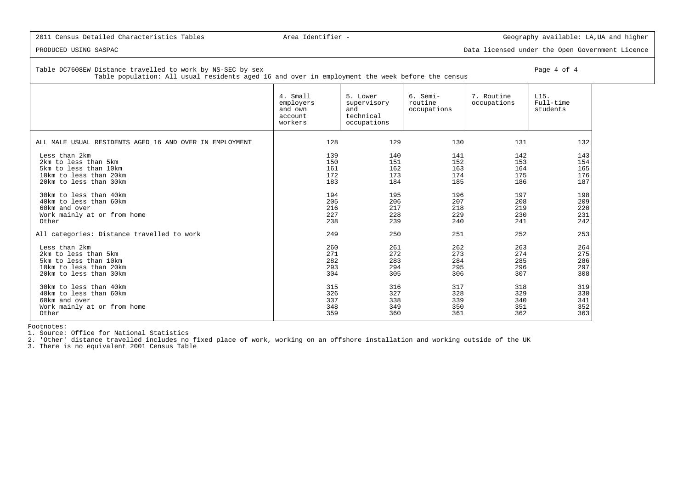PRODUCED USING SASPAC Data licensed under the Open Government Licence

Table DC7608EW Distance travelled to work by NS-SEC by sex Page 4 of 4

Table population: All usual residents aged 16 and over in employment the week before the census

|                                                         | 4. Small<br>employers<br>and own<br>account<br>workers | 5. Lower<br>supervisory<br>and<br>technical<br>occupations | 6. Semi-<br>routine<br>occupations | 7. Routine<br>occupations | L15.<br>Full-time<br>students |
|---------------------------------------------------------|--------------------------------------------------------|------------------------------------------------------------|------------------------------------|---------------------------|-------------------------------|
| ALL MALE USUAL RESIDENTS AGED 16 AND OVER IN EMPLOYMENT | 128                                                    | 129                                                        | 130                                | 131                       | 132                           |
| Less than 2km                                           | 139                                                    | 140                                                        | 141                                | 142                       | 143                           |
| 2km to less than 5km                                    | 150                                                    | 151                                                        | 152                                | 153                       | 154                           |
| 5km to less than 10km                                   | 161                                                    | 162                                                        | 163                                | 164                       | 165                           |
| 10km to less than 20km                                  | 172                                                    | 173                                                        | 174                                | 175                       | 176                           |
| 20km to less than 30km                                  | 183                                                    | 184                                                        | 185                                | 186                       | 187                           |
| 30km to less than 40km                                  | 194                                                    | 195                                                        | 196                                | 197                       | 198                           |
| 40km to less than 60km                                  | 205                                                    | 206                                                        | 207                                | 208                       | 209                           |
| 60km and over                                           | 216                                                    | 217                                                        | 218                                | 219                       | 220                           |
| Work mainly at or from home                             | 227                                                    | 228                                                        | 229                                | 230                       | 231                           |
| Other                                                   | 238                                                    | 239                                                        | 240                                | 241                       | 242                           |
| All categories: Distance travelled to work              | 249                                                    | 250                                                        | 251                                | 252                       | 253                           |
| Less than 2km                                           | 260                                                    | 261                                                        | 262                                | 263                       | 264                           |
| 2km to less than 5km                                    | 271                                                    | 272                                                        | 273                                | 274                       | 275                           |
| 5km to less than 10km                                   | 282                                                    | 283                                                        | 284                                | 285                       | 286                           |
| 10km to less than 20km                                  | 293                                                    | 294                                                        | 295                                | 296                       | 297                           |
| 20km to less than 30km                                  | 304                                                    | 305                                                        | 306                                | 307                       | 308                           |
| 30km to less than 40km                                  | 315                                                    | 316                                                        | 317                                | 318                       | 319                           |
| 40km to less than 60km                                  | 326                                                    | 327                                                        | 328                                | 329                       | 330                           |
| 60km and over                                           | 337                                                    | 338                                                        | 339                                | 340                       | 341                           |
| Work mainly at or from home                             | 348                                                    | 349                                                        | 350                                | 351                       | 352                           |
| Other                                                   | 359                                                    | 360                                                        | 361                                | 362                       | 363                           |

Footnotes:

1. Source: Office for National Statistics

2. 'Other' distance travelled includes no fixed place of work, working on an offshore installation and working outside of the UK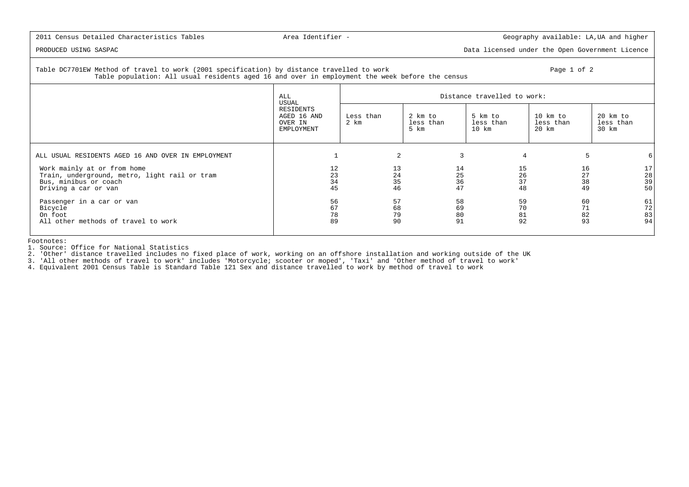PRODUCED USING SASPAC Data licensed under the Open Government Licence

 Table DC7701EW Method of travel to work (2001 specification) by distance travelled to work Page 1 of 2Table population: All usual residents aged 16 and over in employment the week before the census

|                                                                                                                               | ALL<br>USUAL                                      |                      |                              | Distance travelled to work:                  |                                |                                |
|-------------------------------------------------------------------------------------------------------------------------------|---------------------------------------------------|----------------------|------------------------------|----------------------------------------------|--------------------------------|--------------------------------|
|                                                                                                                               | RESIDENTS<br>AGED 16 AND<br>OVER IN<br>EMPLOYMENT | Less than<br>2 km    | 2 km to<br>less than<br>5 km | 5 km to<br>less than<br>$10$ km              | 10 km to<br>less than<br>20 km | 20 km to<br>less than<br>30 km |
| ALL USUAL RESIDENTS AGED 16 AND OVER IN EMPLOYMENT                                                                            |                                                   | 2                    |                              |                                              | 4                              | 6                              |
| Work mainly at or from home<br>Train, underground, metro, light rail or tram<br>Bus, minibus or coach<br>Driving a car or van | 12<br>23<br>34<br>45                              | 13<br>24<br>35<br>46 |                              | 14<br>15<br>26<br>25<br>36<br>37<br>47<br>48 | 16<br>27<br>38<br>49           | 17<br>28<br>39<br>50           |
| Passenger in a car or van<br>Bicycle<br>On foot<br>All other methods of travel to work                                        | 56<br>67<br>78<br>89                              | 57<br>68<br>79<br>90 |                              | 58<br>59<br>70<br>69<br>80<br>81<br>91<br>92 | 60<br>71<br>82<br>93           | 61<br>72<br>83<br>94           |

Footnotes:

1. Source: Office for National Statistics

2. 'Other' distance travelled includes no fixed place of work, working on an offshore installation and working outside of the UK

3. 'All other methods of travel to work' includes 'Motorcycle; scooter or moped', 'Taxi' and 'Other method of travel to work'<br>4. Equivalent 2001 Census Table is Standard Table 121 Sex and distance travelled to work by meth